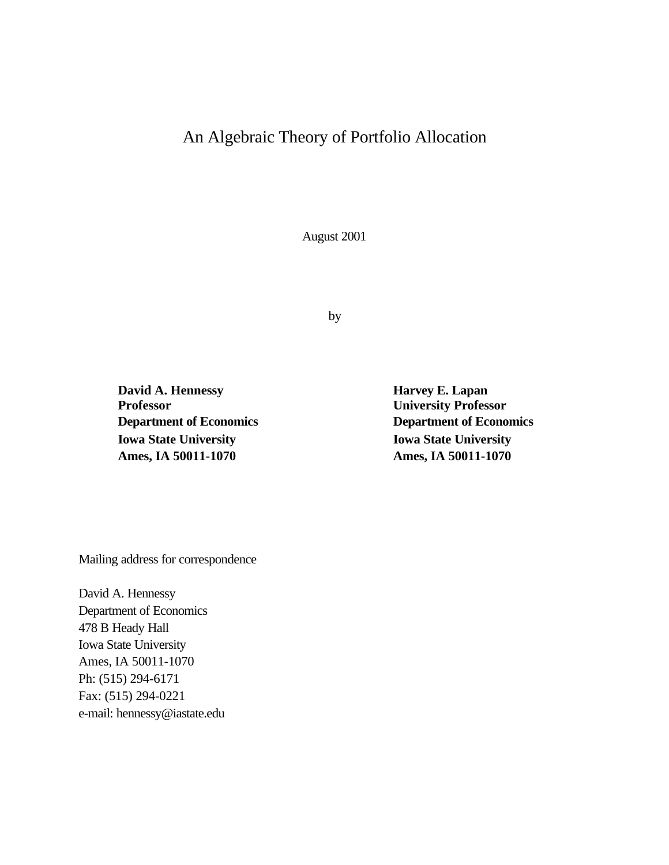# An Algebraic Theory of Portfolio Allocation

August 2001

by

**David A. Hennessy Harvey E. Lapan Professor University Professor Iowa State University Iowa State University Ames, IA 50011-1070 Ames, IA 50011-1070**

**Department of Economics Department of Economics**

Mailing address for correspondence

David A. Hennessy Department of Economics 478 B Heady Hall Iowa State University Ames, IA 50011-1070 Ph: (515) 294-6171 Fax: (515) 294-0221 e-mail: hennessy@iastate.edu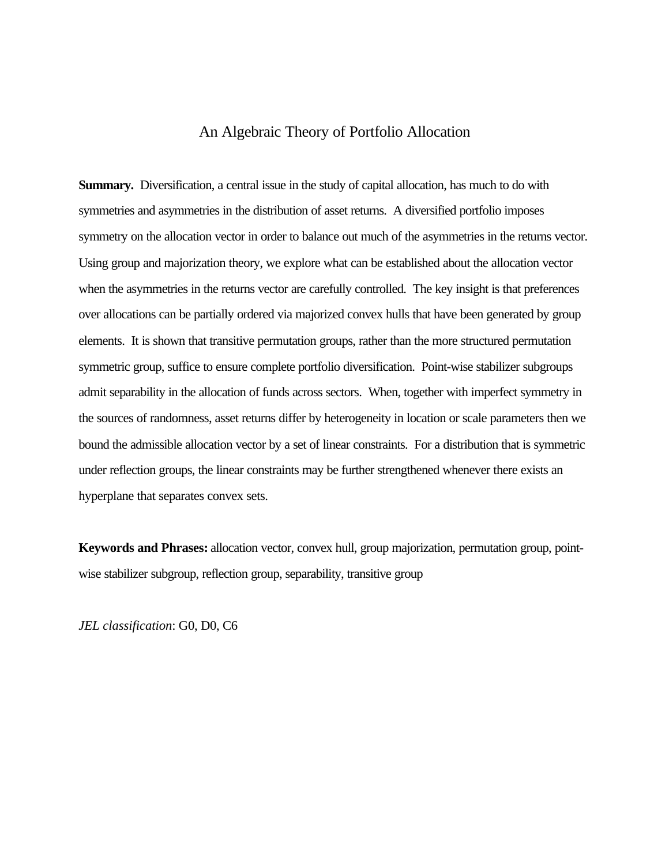# An Algebraic Theory of Portfolio Allocation

**Summary.** Diversification, a central issue in the study of capital allocation, has much to do with symmetries and asymmetries in the distribution of asset returns. A diversified portfolio imposes symmetry on the allocation vector in order to balance out much of the asymmetries in the returns vector. Using group and majorization theory, we explore what can be established about the allocation vector when the asymmetries in the returns vector are carefully controlled. The key insight is that preferences over allocations can be partially ordered via majorized convex hulls that have been generated by group elements. It is shown that transitive permutation groups, rather than the more structured permutation symmetric group, suffice to ensure complete portfolio diversification. Point-wise stabilizer subgroups admit separability in the allocation of funds across sectors. When, together with imperfect symmetry in the sources of randomness, asset returns differ by heterogeneity in location or scale parameters then we bound the admissible allocation vector by a set of linear constraints. For a distribution that is symmetric under reflection groups, the linear constraints may be further strengthened whenever there exists an hyperplane that separates convex sets.

**Keywords and Phrases:** allocation vector, convex hull, group majorization, permutation group, pointwise stabilizer subgroup, reflection group, separability, transitive group

*JEL classification*: G0, D0, C6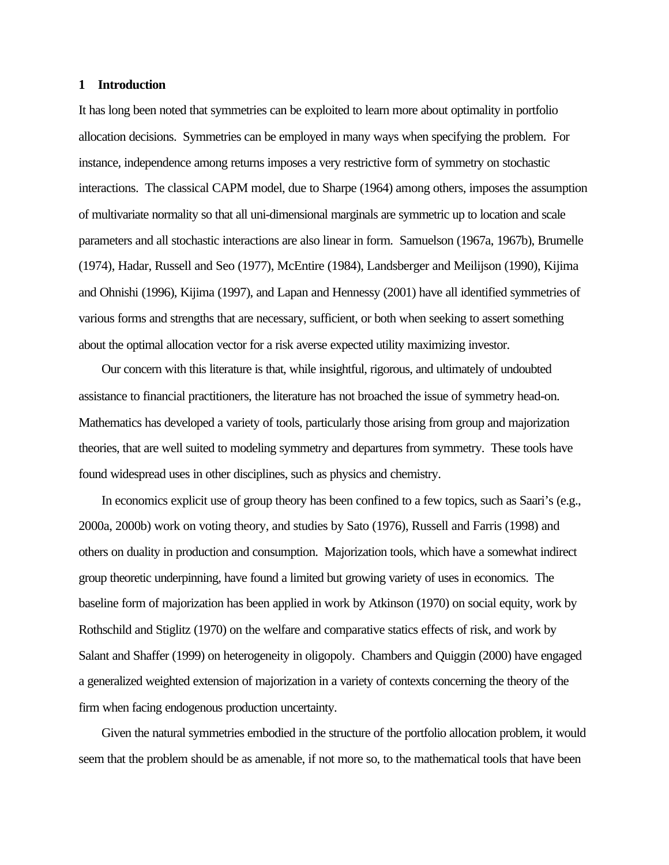#### **1 Introduction**

It has long been noted that symmetries can be exploited to learn more about optimality in portfolio allocation decisions. Symmetries can be employed in many ways when specifying the problem. For instance, independence among returns imposes a very restrictive form of symmetry on stochastic interactions. The classical CAPM model, due to Sharpe (1964) among others, imposes the assumption of multivariate normality so that all uni-dimensional marginals are symmetric up to location and scale parameters and all stochastic interactions are also linear in form. Samuelson (1967a, 1967b), Brumelle (1974), Hadar, Russell and Seo (1977), McEntire (1984), Landsberger and Meilijson (1990), Kijima and Ohnishi (1996), Kijima (1997), and Lapan and Hennessy (2001) have all identified symmetries of various forms and strengths that are necessary, sufficient, or both when seeking to assert something about the optimal allocation vector for a risk averse expected utility maximizing investor.

Our concern with this literature is that, while insightful, rigorous, and ultimately of undoubted assistance to financial practitioners, the literature has not broached the issue of symmetry head-on. Mathematics has developed a variety of tools, particularly those arising from group and majorization theories, that are well suited to modeling symmetry and departures from symmetry. These tools have found widespread uses in other disciplines, such as physics and chemistry.

In economics explicit use of group theory has been confined to a few topics, such as Saari's (e.g., 2000a, 2000b) work on voting theory, and studies by Sato (1976), Russell and Farris (1998) and others on duality in production and consumption. Majorization tools, which have a somewhat indirect group theoretic underpinning, have found a limited but growing variety of uses in economics. The baseline form of majorization has been applied in work by Atkinson (1970) on social equity, work by Rothschild and Stiglitz (1970) on the welfare and comparative statics effects of risk, and work by Salant and Shaffer (1999) on heterogeneity in oligopoly. Chambers and Quiggin (2000) have engaged a generalized weighted extension of majorization in a variety of contexts concerning the theory of the firm when facing endogenous production uncertainty.

Given the natural symmetries embodied in the structure of the portfolio allocation problem, it would seem that the problem should be as amenable, if not more so, to the mathematical tools that have been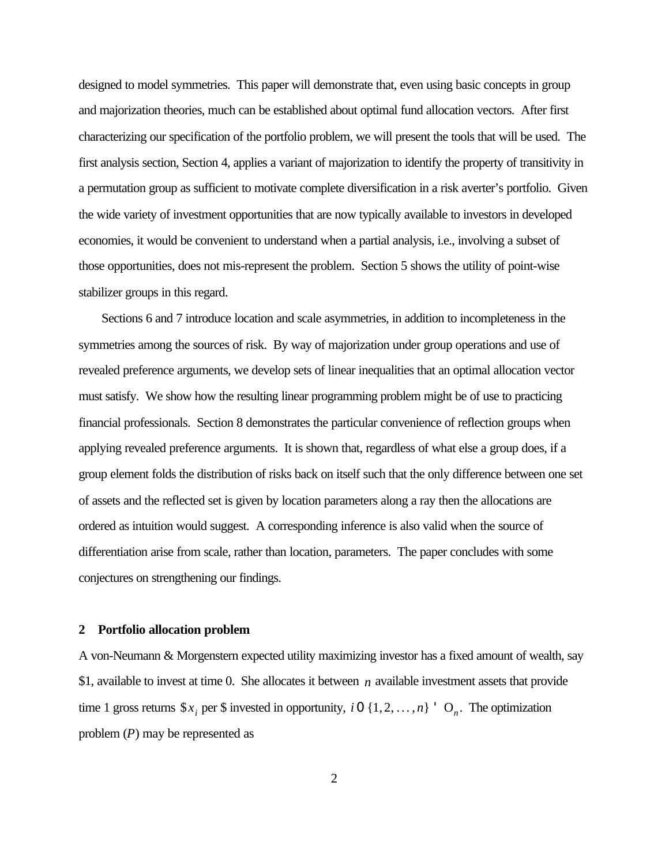designed to model symmetries. This paper will demonstrate that, even using basic concepts in group and majorization theories, much can be established about optimal fund allocation vectors. After first characterizing our specification of the portfolio problem, we will present the tools that will be used. The first analysis section, Section 4, applies a variant of majorization to identify the property of transitivity in a permutation group as sufficient to motivate complete diversification in a risk averter's portfolio. Given the wide variety of investment opportunities that are now typically available to investors in developed economies, it would be convenient to understand when a partial analysis, i.e., involving a subset of those opportunities, does not mis-represent the problem. Section 5 shows the utility of point-wise stabilizer groups in this regard.

Sections 6 and 7 introduce location and scale asymmetries, in addition to incompleteness in the symmetries among the sources of risk. By way of majorization under group operations and use of revealed preference arguments, we develop sets of linear inequalities that an optimal allocation vector must satisfy. We show how the resulting linear programming problem might be of use to practicing financial professionals. Section 8 demonstrates the particular convenience of reflection groups when applying revealed preference arguments. It is shown that, regardless of what else a group does, if a group element folds the distribution of risks back on itself such that the only difference between one set of assets and the reflected set is given by location parameters along a ray then the allocations are ordered as intuition would suggest. A corresponding inference is also valid when the source of differentiation arise from scale, rather than location, parameters. The paper concludes with some conjectures on strengthening our findings.

#### **2 Portfolio allocation problem**

A von-Neumann & Morgenstern expected utility maximizing investor has a fixed amount of wealth, say \$1, available to invest at time 0. She allocates it between *n* available investment assets that provide time 1 gross returns  $\mathcal{S}x_i$  per  $\mathcal{S}$  invested in opportunity, *i* 0 {1,2, ..., *n*}  $\circ$  O<sub>*n*</sub>. The optimization problem (*P*) may be represented as

2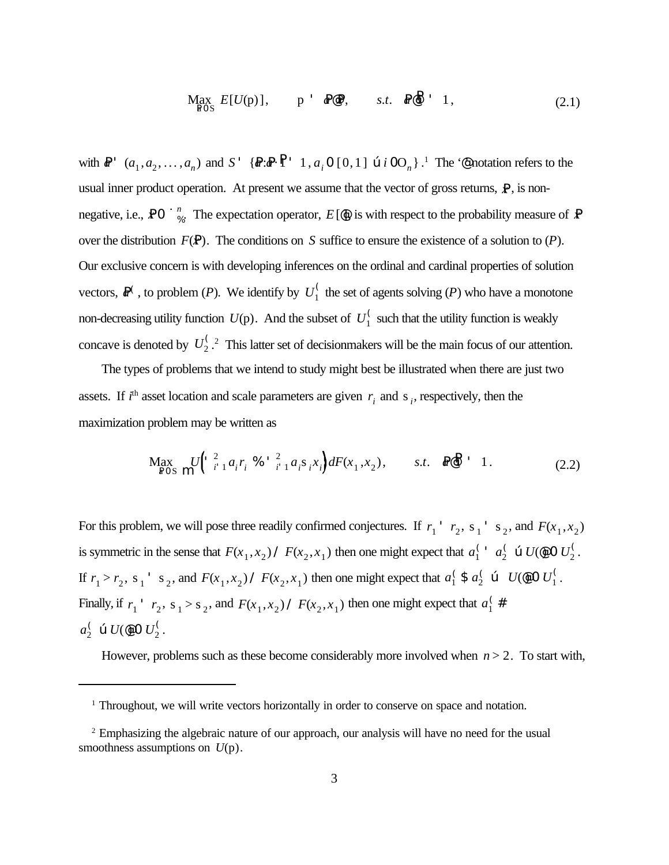$$
\underset{\text{ROS}}{\text{Max}} E[U(p)], \qquad p \quad \text{R@P}, \qquad s.t. \quad \text{R@} \quad 1,
$$
\n
$$
(2.1)
$$

with  $\mathbb{R}^+$   $(a_1, a_2, \ldots, a_n)$  and  $S'$   $\{ \mathbb{R} : \mathbb{R} \cdot \mathbb{P}^+ \mid 1, a_i \neq 0 \, [0,1] \text{ or } i \, 0O_n \}$ .<sup>1</sup> The ' $\mathbb{P}$  notation refers to the usual inner product operation. At present we assume that the vector of gross returns,  $\mathbf{P}$ , is nonnegative, i.e., **PO**  $\mathbf{u}_{\infty}^n$ . The expectation operator,  $E[\mathbf{\Phi}]$ , is with respect to the probability measure of **P** over the distribution  $F(\mathbf{P})$ . The conditions on *S* suffice to ensure the existence of a solution to  $(P)$ . Our exclusive concern is with developing inferences on the ordinal and cardinal properties of solution vectors,  $\mathbb{R}^{\zeta}$ , to problem (*P*). We identify by  $U_1^{\zeta}$  the set of agents solving (*P*) who have a monotone 1 non-decreasing utility function  $U(p)$ . And the subset of  $U_1^{\binom{r}{2}}$  such that the utility function is weakly concave is denoted by  $U_2^{\langle 2 \rangle}$ . This latter set of decision makers will be the main focus of our attention.

The types of problems that we intend to study might best be illustrated when there are just two assets. If  $i^{\text{th}}$  asset location and scale parameters are given  $r_i$  and  $s_i$ , respectively, then the maximization problem may be written as

$$
\underset{\text{ROS}}{\text{Max}} \, U \left( \begin{array}{ccc} 2 & 2 \\ i & 1 \end{array} a_i r_i \, \text{%} \, \begin{array}{ccc} 2 \\ i & 1 \end{array} a_i s_i x_i \right) dF(x_1, x_2), \qquad s.t. \quad \text{Re} \, \mathbb{P} \, \begin{array}{ccc} 1 \\ 1 \end{array} \tag{2.2}
$$

For this problem, we will pose three readily confirmed conjectures. If  $r_1$ <sup>+</sup>  $r_2$ , s<sub>1</sub><sup>+</sup> s<sub>2</sub>, and  $F(x_1, x_2)$ is symmetric in the sense that  $F(x_1, x_2)$  /  $F(x_2, x_1)$  then one might expect that  $a_1^{\prime}$   $a_2^{\prime}$   $\in U(\mathfrak{g} \circ U_2^{\prime})$ .  $\int_1^1 a_2^0$  $\frac{1}{2}$  œ  $U$ (@) O  $U_2^{\text{C}}$ 2 If  $r_1 > r_2$ , s<sub>1</sub>, s<sub>2</sub>, and  $F(x_1, x_2) \neq F(x_2, x_1)$  then one might expect that  $a_1^{\prime}$  \$  $a_2^{\prime}$  &  $U(\phi)$  O  $U_1^{\prime}$ .  $\int_1^6$  \$  $a_2^6$  $U_2$  **c**  $U$  (**@**) 0  $U_1$ <sup>(</sup> 1 Finally, if  $r_1$ <sup>+</sup>  $r_2$ , s<sub>1</sub> > s<sub>2</sub>, and  $F(x_1, x_2)$  /  $F(x_2, x_1)$  then one might expect that  $a_1^{\binom{2}{3}}$  $\frac{1}{1}$  $a_2^{\zeta}$  œ  $U$ (@ 0  $U_2^{\zeta}$ .  $\frac{1}{2}$  œ  $U$ (@)  $U_2^{\text{C}}$ 2

However, problems such as these become considerably more involved when  $n > 2$ . To start with,

<sup>&</sup>lt;sup>1</sup> Throughout, we will write vectors horizontally in order to conserve on space and notation.

<sup>&</sup>lt;sup>2</sup> Emphasizing the algebraic nature of our approach, our analysis will have no need for the usual smoothness assumptions on *U*(p).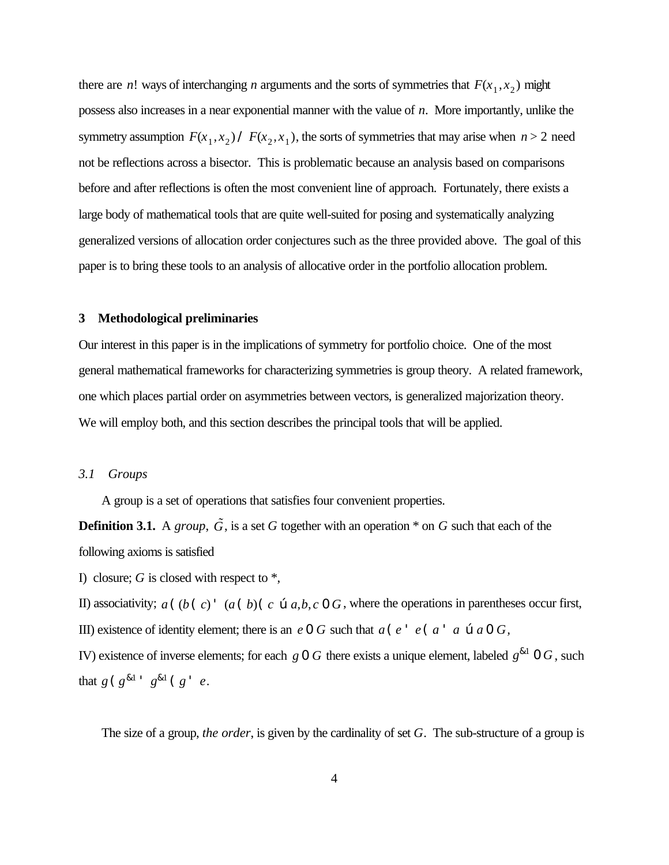there are *n*! ways of interchanging *n* arguments and the sorts of symmetries that  $F(x_1, x_2)$  might possess also increases in a near exponential manner with the value of *n*. More importantly, unlike the symmetry assumption  $F(x_1, x_2)$  /  $F(x_2, x_1)$ , the sorts of symmetries that may arise when  $n > 2$  need not be reflections across a bisector. This is problematic because an analysis based on comparisons before and after reflections is often the most convenient line of approach. Fortunately, there exists a large body of mathematical tools that are quite well-suited for posing and systematically analyzing generalized versions of allocation order conjectures such as the three provided above. The goal of this paper is to bring these tools to an analysis of allocative order in the portfolio allocation problem.

#### **3 Methodological preliminaries**

Our interest in this paper is in the implications of symmetry for portfolio choice. One of the most general mathematical frameworks for characterizing symmetries is group theory. A related framework, one which places partial order on asymmetries between vectors, is generalized majorization theory. We will employ both, and this section describes the principal tools that will be applied.

#### *3.1 Groups*

A group is a set of operations that satisfies four convenient properties.

**Definition 3.1.** A *group*,  $\tilde{G}$ , is a set *G* together with an operation  $*$  on *G* such that each of the following axioms is satisfied

I) closure; *G* is closed with respect to \*,

II) associativity;  $a((b)(c)$  '  $(a(b)(c \oplus a,b,c \oplus G,$  where the operations in parentheses occur first, III) existence of identity element; there is an  $e \cdot 0$  *G* such that  $a(e^+ e(a \cdot a \cdot a \cdot 0)$  *G*,

IV) existence of inverse elements; for each *g* 0 *G* there exists a unique element, labeled  $g^{\&1}$  0 *G*, such that  $g(g^{k_1} \cdot g^{k_1}(g \cdot e))$ .

The size of a group, *the order*, is given by the cardinality of set *G*. The sub-structure of a group is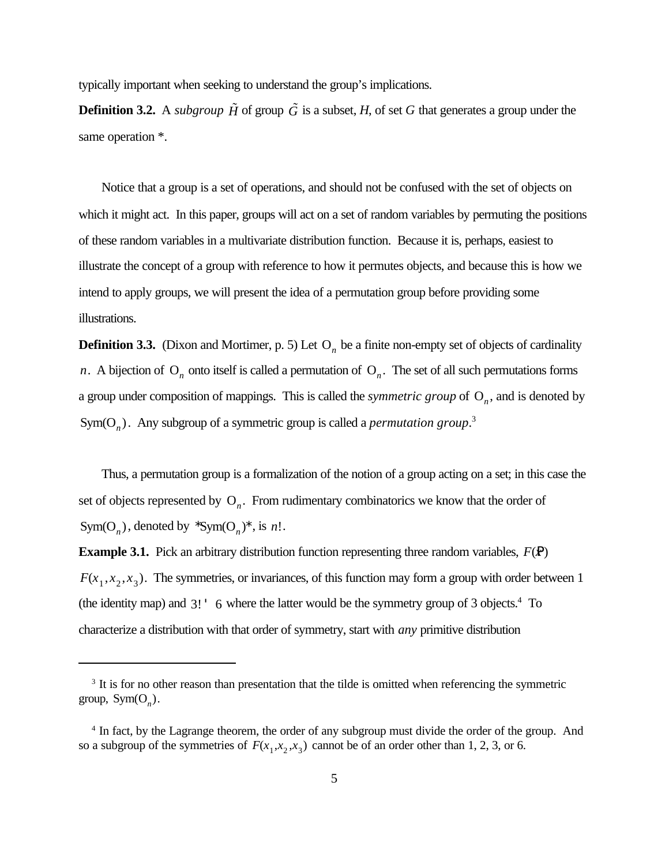typically important when seeking to understand the group's implications.

**Definition 3.2.** A *subgroup*  $\tilde{H}$  of group  $\tilde{G}$  is a subset, *H*, of set *G* that generates a group under the same operation  $*$ .

Notice that a group is a set of operations, and should not be confused with the set of objects on which it might act. In this paper, groups will act on a set of random variables by permuting the positions of these random variables in a multivariate distribution function. Because it is, perhaps, easiest to illustrate the concept of a group with reference to how it permutes objects, and because this is how we intend to apply groups, we will present the idea of a permutation group before providing some illustrations.

**Definition 3.3.** (Dixon and Mortimer, p. 5) Let  $O_n$  be a finite non-empty set of objects of cardinality *n*. A bijection of  $O_n$  onto itself is called a permutation of  $O_n$ . The set of all such permutations forms a group under composition of mappings. This is called the *symmetric group* of  $O_n$ , and is denoted by Sym( $O_n$ ). Any subgroup of a symmetric group is called a *permutation group*.<sup>3</sup>

Thus, a permutation group is a formalization of the notion of a group acting on a set; in this case the set of objects represented by  $O_n$ . From rudimentary combinatorics we know that the order of Sym(O<sub>n</sub>), denoted by  $\sum_{n=1}^{\infty}$  Sym(O<sub>n</sub>)<sup>\*</sup>, is *n*!.

**Example 3.1.** Pick an arbitrary distribution function representing three random variables,  $F(\mathbf{P})$  $F(x_1, x_2, x_3)$ . The symmetries, or invariances, of this function may form a group with order between 1 (the identity map) and  $3!$  ' 6 where the latter would be the symmetry group of 3 objects.<sup>4</sup> To characterize a distribution with that order of symmetry, start with *any* primitive distribution

<sup>&</sup>lt;sup>3</sup> It is for no other reason than presentation that the tilde is omitted when referencing the symmetric group,  $Sym(O_n)$ .

<sup>&</sup>lt;sup>4</sup> In fact, by the Lagrange theorem, the order of any subgroup must divide the order of the group. And so a subgroup of the symmetries of  $F(x_1, x_2, x_3)$  cannot be of an order other than 1, 2, 3, or 6.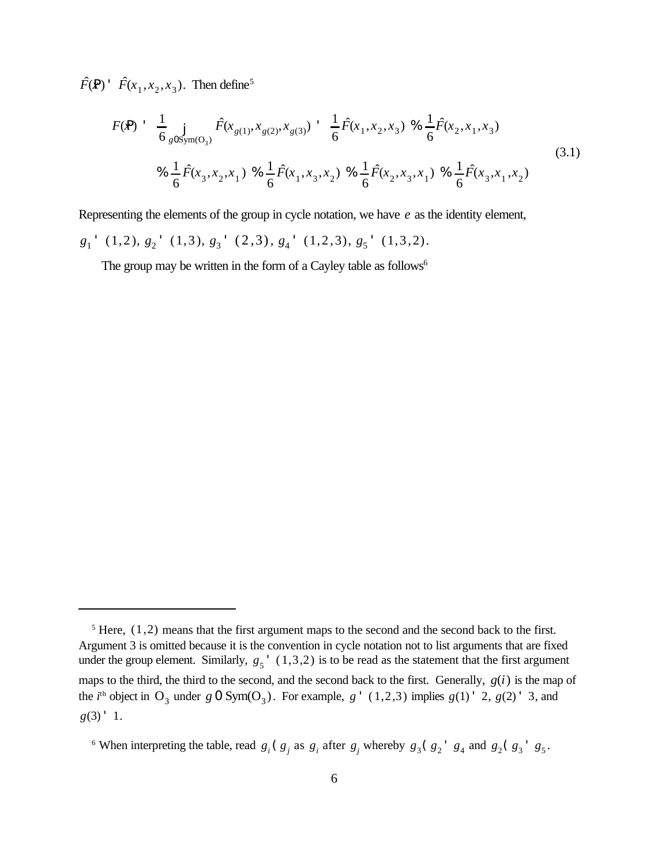$\hat{F}(\mathbf{P})$  '  $\hat{F}(x_1, x_2, x_3)$ . Then define<sup>5</sup>

$$
F(\mathbf{P}) \doteq \frac{1}{6} \int_{g0\text{Sym}(O_3)} \hat{F}(x_{g(1)}, x_{g(2)}, x_{g(3)}) \doteq \frac{1}{6} \hat{F}(x_1, x_2, x_3) \otimes \frac{1}{6} \hat{F}(x_2, x_1, x_3)
$$
\n
$$
\otimes \frac{1}{6} \hat{F}(x_3, x_2, x_1) \otimes \frac{1}{6} \hat{F}(x_1, x_3, x_2) \otimes \frac{1}{6} \hat{F}(x_2, x_3, x_1) \otimes \frac{1}{6} \hat{F}(x_3, x_1, x_2)
$$
\n
$$
(3.1)
$$

Representing the elements of the group in cycle notation, we have *e* as the identity element,

 $g_1$ <sup>+</sup> (1,2),  $g_2$ <sup>+</sup> (1,3),  $g_3$ <sup>+</sup> (2,3),  $g_4$ <sup>+</sup> (1,2,3),  $g_5$ <sup>+</sup> (1,3,2).

The group may be written in the form of a Cayley table as follows<sup>6</sup>

 $5$  Here,  $(1,2)$  means that the first argument maps to the second and the second back to the first. Argument 3 is omitted because it is the convention in cycle notation not to list arguments that are fixed under the group element. Similarly,  $g_5$ <sup>'</sup>  $(1,3,2)$  is to be read as the statement that the first argument maps to the third, the third to the second, and the second back to the first. Generally, *g*(*i*) is the map of the *i*<sup>th</sup> object in O<sub>3</sub> under  $g$  O Sym(O<sub>3</sub>). For example,  $g'$  (1,2,3) implies  $g(1)'$  2,  $g(2)'$  3, and  $g(3)$  ' 1.

<sup>&</sup>lt;sup>6</sup> When interpreting the table, read  $g_i$  ( $g_j$  as  $g_i$  after  $g_j$  whereby  $g_3$  ( $g_2$ <sup>+</sup>  $g_4$  and  $g_2$  ( $g_3$ <sup>+</sup>  $g_5$ .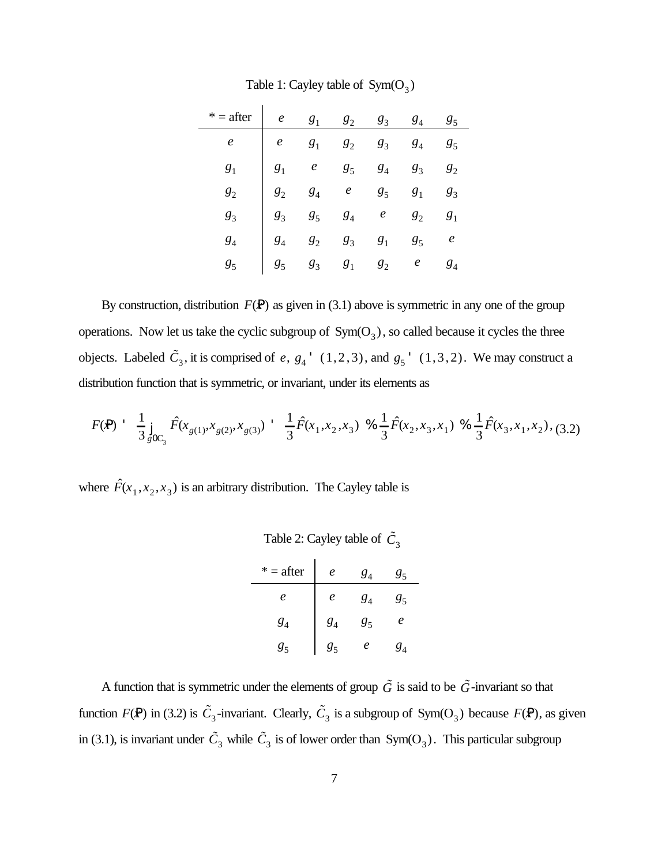| $* =$ after  | $e$ $g_1$ $g_2$ $g_3$ $g_4$ $g_5$                                                                                                                                                                                                                        |  |  |  |
|--------------|----------------------------------------------------------------------------------------------------------------------------------------------------------------------------------------------------------------------------------------------------------|--|--|--|
| $\mathbf{e}$ | <i>e</i> $g_1$ $g_2$ $g_3$ $g_4$ $g_5$<br>$g_1$ <i>e</i> $g_5$ $g_4$ $g_3$ $g_2$<br>$g_2$ $g_4$ <i>e</i> $g_5$ $g_1$ $g_3$<br>$g_3$ $g_5$ $g_4$ <i>e</i> $g_2$ $g_1$<br>$g_4$ $g_2$ $g_3$ $g_1$ $g_5$ <i>e</i><br>$g_5$ $g_3$ $g_1$ $g_2$ <i>e</i> $g_4$ |  |  |  |
| $g_1$        |                                                                                                                                                                                                                                                          |  |  |  |
|              |                                                                                                                                                                                                                                                          |  |  |  |
| $g_3$        |                                                                                                                                                                                                                                                          |  |  |  |
|              |                                                                                                                                                                                                                                                          |  |  |  |
|              |                                                                                                                                                                                                                                                          |  |  |  |

Table 1: Cayley table of  $Sym(O_3)$ 

By construction, distribution  $F(\mathbf{P})$  as given in (3.1) above is symmetric in any one of the group operations. Now let us take the cyclic subgroup of  $Sym(O_3)$ , so called because it cycles the three objects. Labeled  $\tilde{C}_3$ , it is comprised of e,  $g_4$ <sup>+</sup> (1,2,3), and  $g_5$ <sup>+</sup> (1,3,2). We may construct a distribution function that is symmetric, or invariant, under its elements as

$$
F(\mathbf{P}) = \frac{1}{3} \int_{g0C_3} \hat{F}(x_{g(1)}, x_{g(2)}, x_{g(3)}) = \frac{1}{3} \hat{F}(x_1, x_2, x_3) \quad \text{where } \frac{1}{3} \hat{F}(x_2, x_3, x_1) \quad \text{for } \frac{1}{3} \hat{F}(x_3, x_1, x_2), \quad (3.2)
$$

where  $\hat{F}(x_1, x_2, x_3)$  is an arbitrary distribution. The Cayley table is

| Table 2: Cayley table of $\tilde{C}_3$ |          |                |    |  |
|----------------------------------------|----------|----------------|----|--|
| $* =$ after                            | e        | $g_4$          | 85 |  |
| e                                      | e        | $g_4$          | 85 |  |
| $g_4$                                  | $g_4^{}$ | g <sub>5</sub> | e  |  |
| g.                                     | g,       | e              |    |  |

A function that is symmetric under the elements of group  $\tilde{G}$  is said to be  $\tilde{G}$ -invariant so that function  $F(\mathbf{P})$  in (3.2) is  $\tilde{C}_3$ -invariant. Clearly,  $\tilde{C}_3$  is a subgroup of Sym(O<sub>3</sub>) because  $F(\mathbf{P})$ , as given in (3.1), is invariant under  $\tilde{C}_3$  while  $\tilde{C}_3$  is of lower order than  $Sym(O_3)$ . This particular subgroup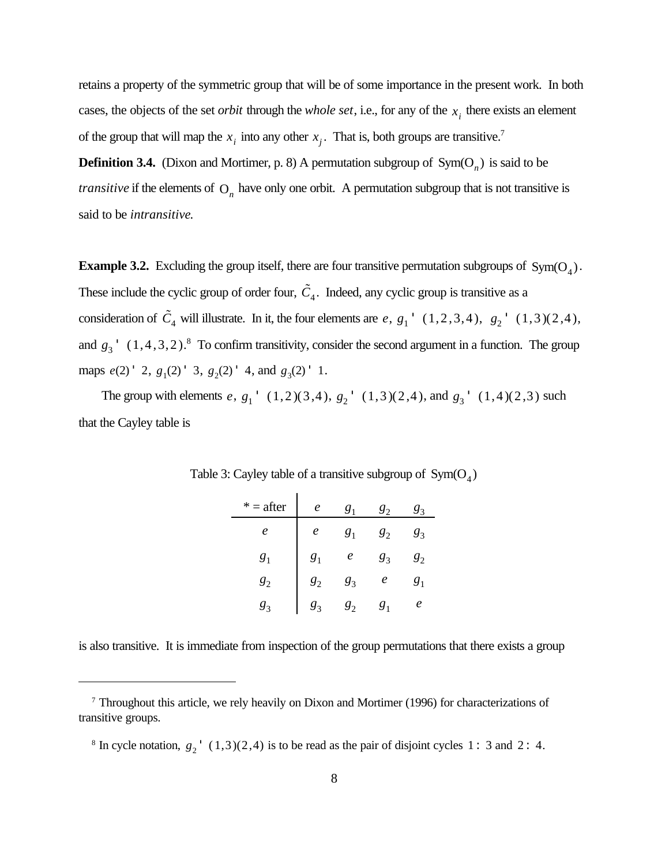retains a property of the symmetric group that will be of some importance in the present work. In both cases, the objects of the set *orbit* through the *whole set*, i.e., for any of the  $x_i$  there exists an element of the group that will map the  $x_i$  into any other  $x_j$ . That is, both groups are transitive.<sup>7</sup>

**Definition 3.4.** (Dixon and Mortimer, p. 8) A permutation subgroup of  $Sym(O_n)$  is said to be *transitive* if the elements of  $O_n$  have only one orbit. A permutation subgroup that is not transitive is said to be *intransitive*.

**Example 3.2.** Excluding the group itself, there are four transitive permutation subgroups of  $Sym(O_4)$ . These include the cyclic group of order four,  $\tilde{C}_4$ . Indeed, any cyclic group is transitive as a consideration of  $\tilde{C}_4$  will illustrate. In it, the four elements are  $e$ ,  $g_1$ <sup>+</sup> (1,2,3,4),  $g_2$ <sup>+</sup> (1,3)(2,4), and  $g_3$ <sup>'</sup>  $(1,4,3,2)$ .<sup>8</sup> To confirm transitivity, consider the second argument in a function. The group maps  $e(2)$  ' 2,  $g_1(2)$  ' 3,  $g_2(2)$  ' 4, and  $g_3(2)$  ' 1.

The group with elements  $e, g_1 \prime (1,2)(3,4), g_2 \prime (1,3)(2,4),$  and  $g_3 \prime (1,4)(2,3)$  such that the Cayley table is

| $* =$ after    | e                | g <sub>1</sub> | $g_2$          | $g_3^{}$             |
|----------------|------------------|----------------|----------------|----------------------|
| e              | e                | g <sub>1</sub> | g <sub>2</sub> | $g_3$                |
| g <sub>1</sub> | $g_1$            | e              | $g_3$          | ${\scriptstyle g_2}$ |
| $g_2$          | $\overline{s}_2$ | $g_3$          | e              | g <sub>1</sub>       |
| $g_3$          | g,               | g <sub>2</sub> | $g_1$          | e                    |

Table 3: Cayley table of a transitive subgroup of  $Sym(O_4)$ 

is also transitive. It is immediate from inspection of the group permutations that there exists a group

<sup>&</sup>lt;sup>7</sup> Throughout this article, we rely heavily on Dixon and Mortimer (1996) for characterizations of transitive groups.

<sup>&</sup>lt;sup>8</sup> In cycle notation,  $g_2$ <sup>'</sup>  $(1,3)(2,4)$  is to be read as the pair of disjoint cycles 1: 3 and 2: 4.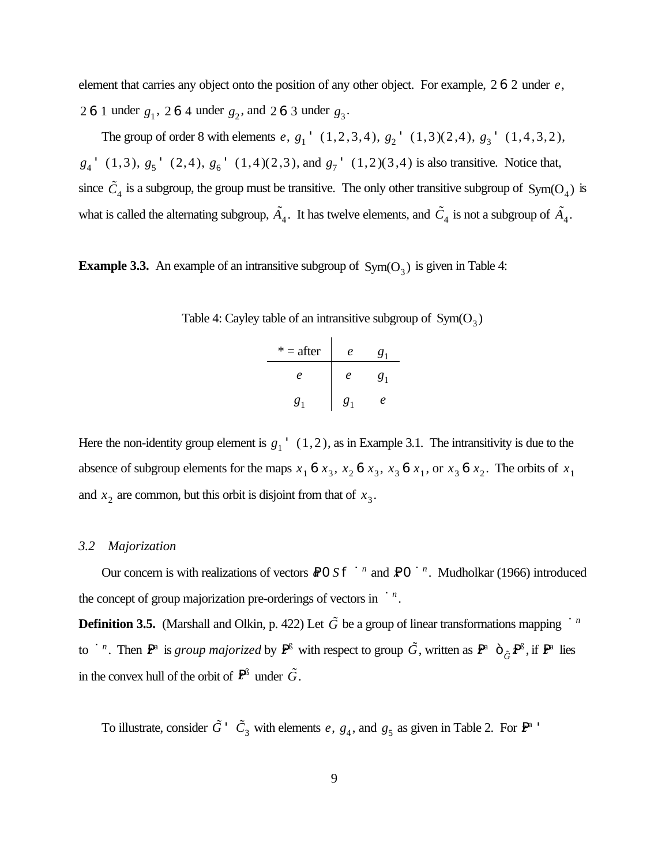element that carries any object onto the position of any other object. For example, 2 6 2 under *e*, 2 6 1 under  $g_1$ , 2 6 4 under  $g_2$ , and 2 6 3 under  $g_3$ .

The group of order 8 with elements  $e$ ,  $g_1$ <sup>+</sup>  $(1,2,3,4)$ ,  $g_2$ <sup>+</sup>  $(1,3)(2,4)$ ,  $g_3$ <sup>+</sup>  $(1,4,3,2)$ ,  $g_4$ <sup>+</sup> (1,3),  $g_5$ <sup>+</sup> (2,4),  $g_6$ <sup>+</sup> (1,4)(2,3), and  $g_7$ <sup>+</sup> (1,2)(3,4) is also transitive. Notice that, since  $\tilde{C}_4$  is a subgroup, the group must be transitive. The only other transitive subgroup of Sym(O<sub>4</sub>) is what is called the alternating subgroup,  $\tilde{A}_4$ . It has twelve elements, and  $\tilde{C}_4$  is not a subgroup of  $\tilde{A}_4$ .

**Example 3.3.** An example of an intransitive subgroup of  $Sym(O_3)$  is given in Table 4:

| $* =$ after | e              | $g_1$          |
|-------------|----------------|----------------|
| e           | e              | g <sub>1</sub> |
| $g_1$       | g <sub>1</sub> | e              |

Here the non-identity group element is  $g_1$ <sup>'</sup>  $(1,2)$ , as in Example 3.1. The intransitivity is due to the absence of subgroup elements for the maps  $x_1$  **6**  $x_3$ ,  $x_2$  **6**  $x_3$ ,  $x_3$  **6**  $x_1$ , or  $x_3$  **6**  $x_2$ . The orbits of  $x_1$ and  $x_2$  are common, but this orbit is disjoint from that of  $x_3$ .

#### *3.2 Majorization*

Our concern is with realizations of vectors  $\mathbb{R}^0$  *S* f  $\mathbf{u}^n$  and  $\mathbb{R}^0$   $\mathbf{u}^n$ . Mudholkar (1966) introduced the concept of group majorization pre-orderings of vectors in  $\mathbf{u}^n$ .

**Definition 3.5.** (Marshall and Olkin, p. 422) Let  $\tilde{G}$  be a group of linear transformations mapping  $\tilde{G}$ <sup>n</sup> to  $\mathbf{u}^n$ . Then  $\mathbf{P}^{\text{a}}$  is *group majorized* by  $\mathbf{P}^{\text{a}}$  with respect to group  $\tilde{G}$ , written as  $\mathbf{P}^{\text{a}}$   $\tilde{G}$ ,  $\mathbf{P}^{\text{a}}$ , if  $\mathbf{P}^{\text{a}}$  lies in the convex hull of the orbit of  $\mathbf{P}^{B}$  under  $\tilde{G}$ .

To illustrate, consider  $\tilde{G}$  '  $\tilde{C}_3$  with elements e,  $g_4$ , and  $g_5$  as given in Table 2. For  $\mathbb{P}^a$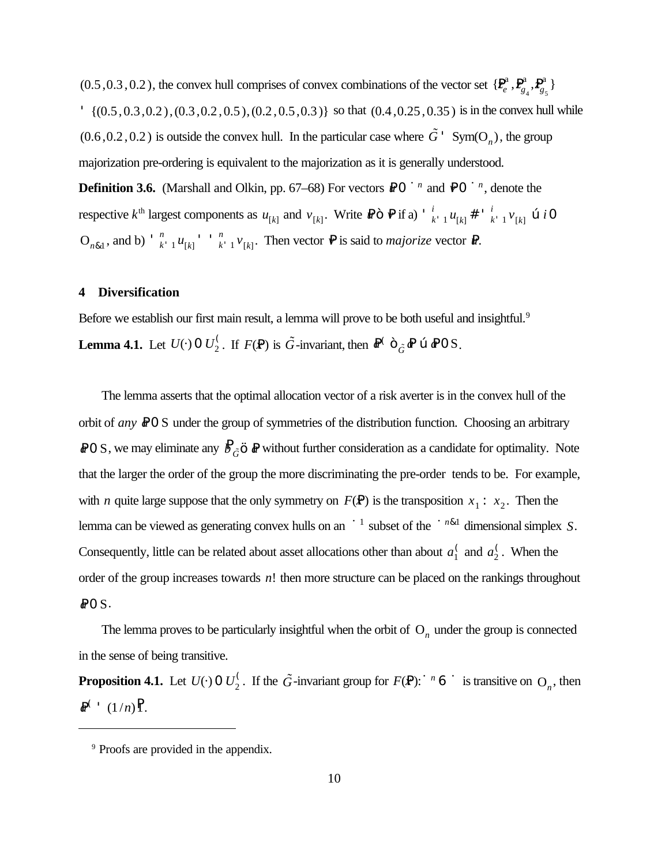$(0.5, 0.3, 0.2)$ , the convex hull comprises of convex combinations of the vector set  $\{P_e^a\}$  $e^a$ ,  $P_g^a$  $g_4^a$ ,  $P_{g_4}^a$  $\begin{bmatrix}a\\g_{5}\end{bmatrix}$  $\{ (0.5, 0.3, 0.2), (0.3, 0.2, 0.5), (0.2, 0.5, 0.3) \}$  so that  $(0.4, 0.25, 0.35)$  is in the convex hull while  $(0.6, 0.2, 0.2)$  is outside the convex hull. In the particular case where  $\tilde{G}$ <sup>+</sup> Sym(O<sub>n</sub>), the group majorization pre-ordering is equivalent to the majorization as it is generally understood.

**Definition 3.6.** (Marshall and Olkin, pp. 67–68) For vectors  $\mathbb{R}$  0 ú<sup>n</sup> and  $\mathbb{P}$ 0 ú<sup>n</sup>, denote the respective  $k^{\text{th}}$  largest components as  $u_{[k]}$  and  $v_{[k]}$ . Write  $\mathbb{R} \cap \mathbb{P}$  if a)  $\frac{1}{k}$  $\frac{i}{k}$  1  $u_{[k]}$   $\#$   $\frac{i}{k}$  $\frac{\partial}{\partial k}$ ,  $\frac{\partial}{\partial l}$   $\frac{\partial}{\partial k}$   $\frac{\partial}{\partial l}$  $O_{n\&1}$ , and b)  $\int_{-k+1}^{n} u_{[k]} \leq \int_{-k+1}^{n} v_{[k]}$ . Then vector  $\mathbf{\nabla}$  is said to *majorize* vector  $\mathbf{\nabla}$ .  $\binom{n}{k}$   $\binom{n}{k}$   $\binom{n}{k}$  $\int_{k+1}^{n} v_{[k]}$ . Then vector  $\mathbf{P}$  is said to *majorize* vector  $\mathbf{P}$ 

#### **4 Diversification**

Before we establish our first main result, a lemma will prove to be both useful and insightful.<sup>9</sup> **Lemma 4.1.** Let  $U(\cdot)$  0  $U_2^{\langle}$ . If  $F(\mathbf{P})$  is  $\tilde{G}$ -invariant, then  $\mathbf{P}^{\langle} \cap \tilde{G}$   $\mathbf{P}$   $\mathbf{C} \oplus \mathbf{P} \mathbf{O} \mathbf{S}$ .

The lemma asserts that the optimal allocation vector of a risk averter is in the convex hull of the orbit of *any* **aO** S under the group of symmetries of the distribution function. Choosing an arbitrary *a* 0 S, we may eliminate any  $B_{\tilde{G}}$   $\tilde{\bf{s}}$  *a* without further consideration as a candidate for optimality. Note that the larger the order of the group the more discriminating the pre-order tends to be. For example, with *n* quite large suppose that the only symmetry on  $F(\mathbf{P})$  is the transposition  $x_1 : x_2$ . Then the lemma can be viewed as generating convex hulls on an  $\mathfrak{u}^1$  subset of the  $\mathfrak{u}^{n\&1}$  dimensional simplex *S*. Consequently, little can be related about asset allocations other than about  $a_1^{\dagger}$  and  $a_2^{\dagger}$ . When the 2 order of the group increases towards *n*! then more structure can be placed on the rankings throughout *a*P0 S.

The lemma proves to be particularly insightful when the orbit of  $O<sub>n</sub>$  under the group is connected in the sense of being transitive.

**Proposition 4.1.** Let  $U(\cdot)$  0  $U_2^{\zeta}$ . If the  $\tilde{G}$ -invariant group for  $F(\mathbf{P})$ :ú<sup>n</sup> 6 ú is transitive on  $O_n$ , then  $R^{\left( +\right) }$  (1/*n*)<sup>P</sup><sub>1</sub>.

<sup>9</sup> Proofs are provided in the appendix.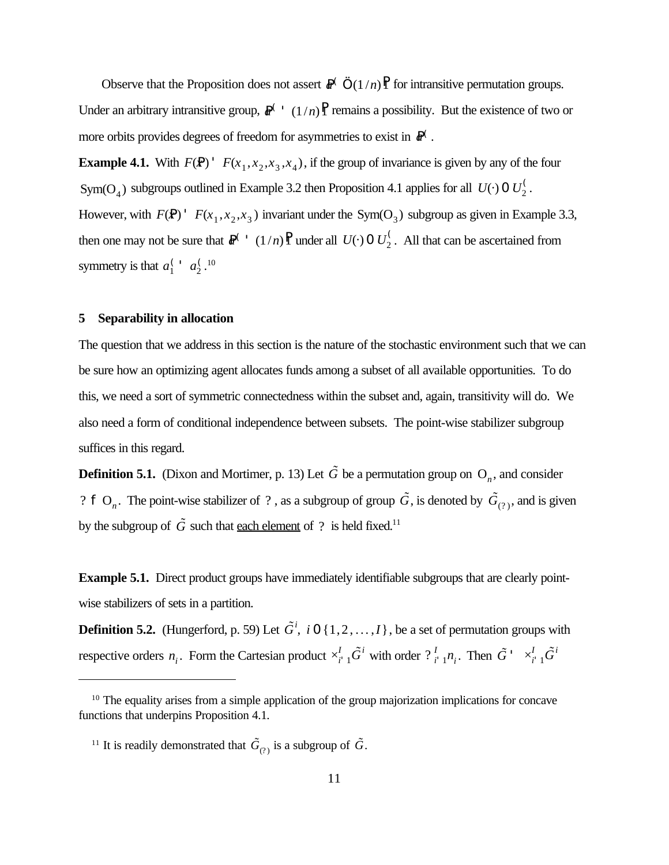Observe that the Proposition does not assert  $\mathbb{R}^{\binom{n}{m}}$  or intransitive permutation groups. Under an arbitrary intransitive group,  $\mathbb{R}^{\binom{n}{2}}$  (1/*n*)<sup>P</sup><sub>1</sub> remains a possibility. But the existence of two or more orbits provides degrees of freedom for asymmetries to exist in  $R^{\langle}$ .

**Example 4.1.** With  $F(\mathbf{P})$  '  $F(x_1, x_2, x_3, x_4)$ , if the group of invariance is given by any of the four Sym(O<sub>4</sub>) subgroups outlined in Example 3.2 then Proposition 4.1 applies for all  $U(\cdot)$  0  $U_2^{\langle}$ . 2 However, with  $F(\mathbf{P})$  '  $F(x_1, x_2, x_3)$  invariant under the Sym(O<sub>3</sub>) subgroup as given in Example 3.3, then one may not be sure that  $\mathbb{R}^{\binom{r}{2}}$  (1/*n*)<sup>P</sup><sub>1</sub> under all  $U(\cdot)$  0  $U_2^{\binom{r}{2}}$ . All that can be ascertained from symmetry is that  $a_1^{\left(1\right)} a_2^{\left(10\right)}$  $\int_1^1 a_2^0$ 2

#### **5 Separability in allocation**

The question that we address in this section is the nature of the stochastic environment such that we can be sure how an optimizing agent allocates funds among a subset of all available opportunities. To do this, we need a sort of symmetric connectedness within the subset and, again, transitivity will do. We also need a form of conditional independence between subsets. The point-wise stabilizer subgroup suffices in this regard.

**Definition 5.1.** (Dixon and Mortimer, p. 13) Let  $\tilde{G}$  be a permutation group on  $O_n$ , and consider ? **f** O<sub>n</sub>. The point-wise stabilizer of ?, as a subgroup of group  $\tilde{G}$ , is denoted by  $\tilde{G}_{(2)}$ , and is given by the subgroup of  $\tilde{G}$  such that each element of ? is held fixed.<sup>11</sup>

**Example 5.1.** Direct product groups have immediately identifiable subgroups that are clearly pointwise stabilizers of sets in a partition.

**Definition 5.2.** (Hungerford, p. 59) Let  $\tilde{G}^i$ , *i* 0 {1,2, ...,*I*}, be a set of permutation groups with respective orders  $n_i$ . Form the Cartesian product  $\times_{i=1}^I \tilde{G}^i$  with order  $\frac{1}{i+1}n_i$ . Then  $\overline{G}$ <sup>*i*</sup>  $\times$   $\overline{G}$ <sup>*i*</sup>  $\times$   $\overline{G}$ <sup>*i*</sup>  $\overline{G}$ <sup>*i*</sup>

<sup>&</sup>lt;sup>10</sup> The equality arises from a simple application of the group majorization implications for concave functions that underpins Proposition 4.1.

<sup>&</sup>lt;sup>11</sup> It is readily demonstrated that  $\tilde{G}_{(?)}$  is a subgroup of  $\tilde{G}$ .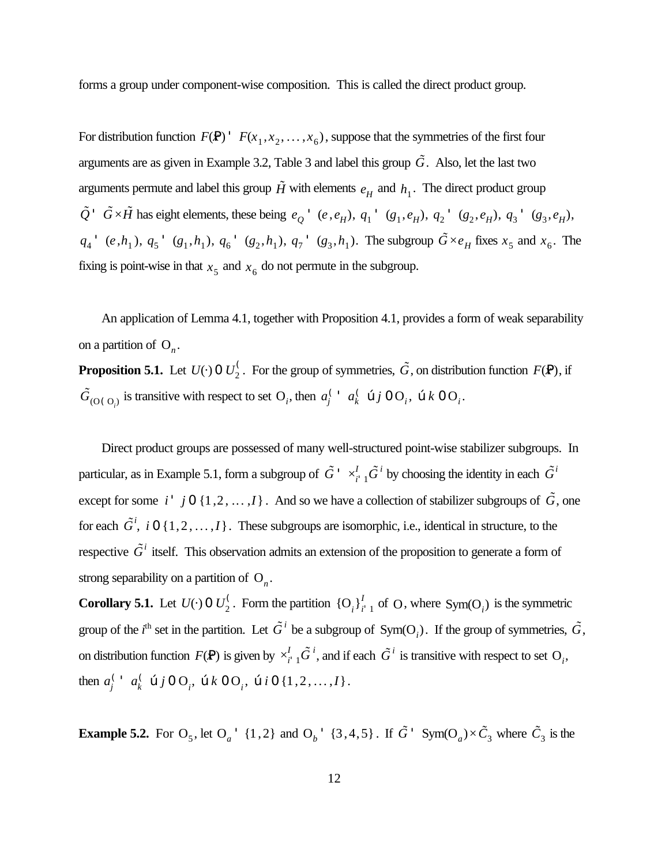forms a group under component-wise composition. This is called the direct product group.

For distribution function  $F(\mathbf{P})$  '  $F(x_1, x_2, ..., x_6)$ , suppose that the symmetries of the first four arguments are as given in Example 3.2, Table 3 and label this group  $\tilde{G}$ . Also, let the last two arguments permute and label this group  $\tilde{H}$  with elements  $e_H$  and  $h_1$ . The direct product group  $\tilde{Q}$   $\tilde{G} \times \tilde{H}$  has eight elements, these being  $e_Q$   $\tilde{Q}$   $(e, e_H)$ ,  $q_1$   $\tilde{Q}_1$ ,  $e_H$ ),  $q_2$   $\tilde{Q}_2$ ,  $e_H$ ),  $q_3$   $\tilde{Q}_3$ ,  $e_H$ ),  $q_4$  '  $(e, h_1)$ ,  $q_5$  '  $(g_1, h_1)$ ,  $q_6$  '  $(g_2, h_1)$ ,  $q_7$  '  $(g_3, h_1)$ . The subgroup  $\tilde{G} \times e_H$  fixes  $x_5$  and  $x_6$ . The fixing is point-wise in that  $x<sub>5</sub>$  and  $x<sub>6</sub>$  do not permute in the subgroup.

An application of Lemma 4.1, together with Proposition 4.1, provides a form of weak separability on a partition of  $O_n$ .

**Proposition 5.1.** Let  $U(\cdot)$  0  $U_2^{\zeta}$ . For the group of symmetries,  $\tilde{G}$ , on distribution function  $F(\mathbf{P})$ , if  $\tilde{G}_{(O(O_i))}$  is transitive with respect to set O<sub>*i*</sub>, then  $a_j^{\left(\cdot\right)}$   $a_k^{\left(\cdot\right)}$   $\tilde{G}(O_i)$ ,  $\tilde{G}(O_i)$ ,  $\tilde{G}(O_i)$  $\int_j^1 a_k$  $\int_k^C$  œ  $j$  O  $O_i^-,$  œ  $k$  O  $O_i^-,$ 

Direct product groups are possessed of many well-structured point-wise stabilizer subgroups. In particular, as in Example 5.1, form a subgroup of  $\tilde{G}$ <sup> $\perp$ </sup>  $\times_{i=1}^{I} \tilde{G}^{i}$  by choosing the identity in each  $\tilde{G}^{i}$ except for some *i* ' *j* 0 {1,2, ...,*I*}. And so we have a collection of stabilizer subgroups of  $\tilde{G}$ , one for each  $\tilde{G}^i$ , *i* 0 {1,2, ...,*I*}. These subgroups are isomorphic, i.e., identical in structure, to the respective  $\tilde{G}^i$  itself. This observation admits an extension of the proposition to generate a form of strong separability on a partition of  $O_n$ .

**Corollary 5.1.** Let  $U(\cdot)$  0  $U_2^{\prime}$ . Form the partition  $\{O_i\}_{i=1}^I$  of O, where  $Sym(O_i)$  is the symmetric group of the *i*<sup>th</sup> set in the partition. Let  $\tilde{G}^i$  be a subgroup of  $Sym(O_i)$ . If the group of symmetries,  $\tilde{G}$ , on distribution function  $F(\mathbf{P})$  is given by  $\times_{i=1}^{I} \tilde{G}^{i}$ , and if each  $\tilde{G}^{i}$  is transitive with respect to set O<sub>*i*</sub>, then  $a_i^{\prime}$   $a_k^{\prime}$   $\otimes j$  0 O<sub>i</sub>,  $\otimes k$  0 O<sub>i</sub>,  $\otimes i$  0 {1, 2, ..., I}.  $\int_j^1 a_k$  $\int_{k}^{C}$  **c**<sub>*i*</sub>, **c** *k* **0**  $\Omega$ <sub>*i*</sub>, **c** *i* **0** {1,2,...,*I*}

**Example 5.2.** For  $O_5$ , let  $O_a$ <sup>+</sup> {1,2} and  $O_b$ <sup>+</sup> {3,4,5}. If  $\tilde{G}$ <sup>+</sup> Sym( $O_a$ ) $\times \tilde{C}_3$  where  $\tilde{C}_3$  is the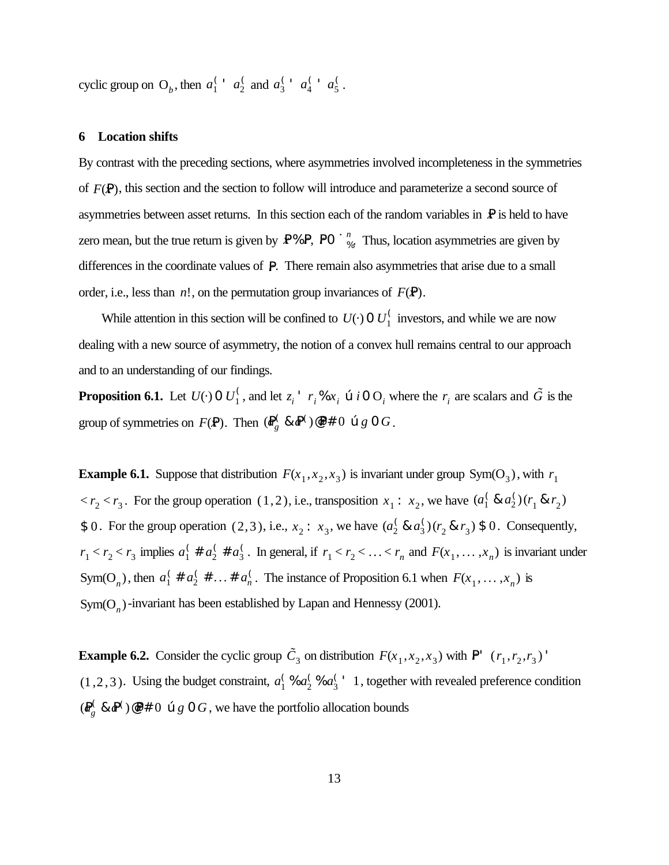cyclic group on O<sub>b</sub>, then  $a_1^{\prime}$  a  $a_2^{\prime}$  and  $a_3^{\prime}$  a  $a_4^{\prime}$  a  $a_5^{\prime}$ .  $\int_1^1 a_2^0$  $\int_2^{\zeta}$  and  $a_3^{\zeta}$  $\int_{3}^{4} a_4^6$  $\int_{4}^{4} a_5^6$ 5

#### **6 Location shifts**

By contrast with the preceding sections, where asymmetries involved incompleteness in the symmetries of *F*(*x*P), this section and the section to follow will introduce and parameterize a second source of asymmetries between asset returns. In this section each of the random variables in  $\mathbb{P}$  is held to have zero mean, but the true return is given by  $\mathbf{P} \otimes \mathbf{P}$ ,  $\mathbf{P} \circ \mathbf{G}_{\alpha}^{n}$ . Thus, location asymmetries are given by differences in the coordinate values of P. There remain also asymmetries that arise due to a small order, i.e., less than  $n!$ , on the permutation group invariances of  $F(\mathbf{P})$ .

While attention in this section will be confined to  $U(\cdot)$  0  $U_1^{\binom{1}{1}}$  investors, and while we are now dealing with a new source of asymmetry, the notion of a convex hull remains central to our approach and to an understanding of our findings.

**Proposition 6.1.** Let  $U(\cdot)$  0  $U_1^{\zeta}$ , and let  $z_i^{\prime}$  *r*<sub>i</sub> %  $x_i$   $\alpha$  *i* 0  $O_i$  where the  $r_i$  are scalars and  $\tilde{G}$  is the group of symmetries on  $F(\mathbf{P})$ . Then  $(\mathbf{R}_{\rho}^{\mathbf{C}} \& \mathbf{P}^{\mathbf{C}}) \& \mathbf{P} \neq 0 \& g \circ G$ . *g* & *a*P ( )@P*r* # 0 œ *g* 0 *G*

**Example 6.1.** Suppose that distribution  $F(x_1, x_2, x_3)$  is invariant under group Sym(O<sub>3</sub>), with  $r_1$  $\langle r_2 \times r_3 \rangle$ . For the group operation (1,2), i.e., transposition  $x_1 : x_2$ , we have  $(a_1^0)$  $\int_1^6 8 a_2^6$  $^{()}_2(r_1 \& r_2)$ \$ 0. For the group operation (2,3), i.e.,  $x_2$ :  $x_3$ , we have  $(a_2^{\prime} \& a_3^{\prime})(r_2 \& r_3)$  \$ 0. Consequently,  $\frac{1}{2}$  &  $a_3^{\prime}$  $^{(}0)$  $(r_2 \& r_3) \$0$  $r_1 < r_2 < r_3$  implies  $a_1^{\prime} \# a_2^{\prime} \# a_3^{\prime}$ . In general, if  $r_1 < r_2 < \ldots < r_n$  and  $F(x_1, \ldots, x_n)$  is invariant under  $\int_1^6$  #  $a_2^6$  $\frac{1}{2}$  #  $a_3^{\left(}$  $\int_3^6$ . In general, if  $r_1 < r_2 < \ldots < r_n$  and  $F(x_1, \ldots, x_n)$ Sym(O<sub>n</sub>), then  $a_1^{\prime} \# a_2^{\prime} \# \dots \# a_n^{\prime}$ . The instance of Proposition 6.1 when  $F(x_1, \dots, x_n)$  is  $\int_1^6$  #  $a_2^6$  $\frac{1}{2}$  # ... #  $a_n^{\binom{k}{n}}$ . The instance of Proposition 6.1 when  $F(x_1, \ldots, x_n)$  $Sym(O_n)$ -invariant has been established by Lapan and Hennessy (2001).

**Example 6.2.** Consider the cyclic group  $\tilde{C}_3$  on distribution  $F(x_1, x_2, x_3)$  with  $P' (r_1, r_2, r_3)'$  $(1,2,3)$ . Using the budget constraint,  $a_1^6$  %  $a_2^6$  %  $a_3^6$  ' 1, together with revealed preference condition  $\frac{6}{2}$ %  $a_3^6$  $\frac{1}{3}$  1  $(R_g^C \& \mathbb{P}^C) \circ \mathbb{P}^* \neq 0$   $\circledcirc g$  0 *G*, we have the portfolio allocation bounds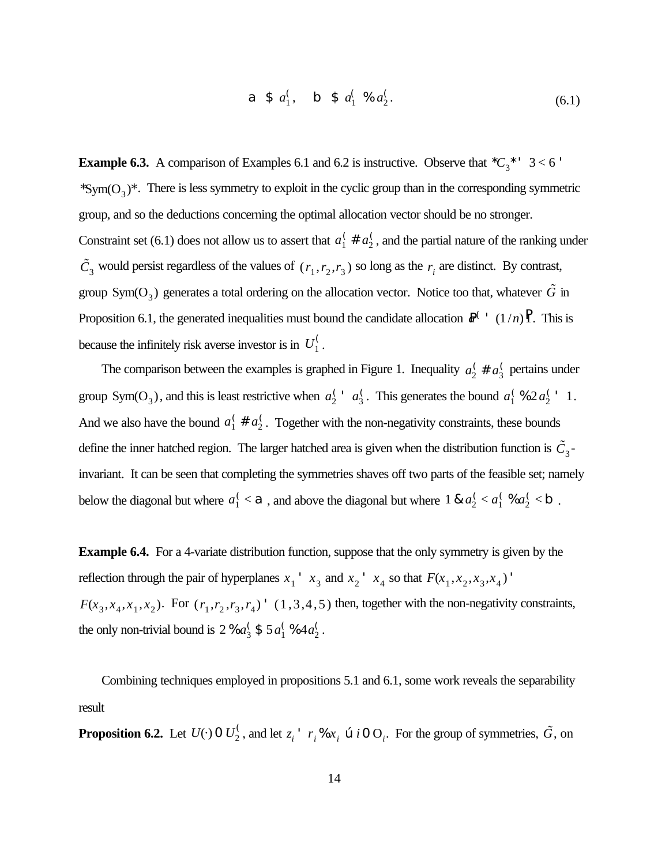**a** \$ 
$$
a_1^{\prime}
$$
, **b** \$  $a_1^{\prime} % a_2^{\prime}$ . (6.1)

**Example 6.3.** A comparison of Examples 6.1 and 6.2 is instructive. Observe that  ${}^{\star}C_3{}^{\star}$  ' 3 < 6 ' \*Sym( $O_3$ )\*. There is less symmetry to exploit in the cyclic group than in the corresponding symmetric group, and so the deductions concerning the optimal allocation vector should be no stronger. Constraint set (6.1) does not allow us to assert that  $a_1^{\dagger} \# a_2^{\dagger}$ , and the partial nature of the ranking under 2  $\tilde{C}_3$  would persist regardless of the values of  $(r_1, r_2, r_3)$  so long as the  $r_i$  are distinct. By contrast, group Sym(O<sub>3</sub>) generates a total ordering on the allocation vector. Notice too that, whatever  $\tilde{G}$  in Proposition 6.1, the generated inequalities must bound the candidate allocation  $\mathbb{R}^{\binom{n}{2}}$  (1/*n*)**P**. This is because the infinitely risk averse investor is in  $U_1^{\binom{1}{k}}$ . 1

The comparison between the examples is graphed in Figure 1. Inequality  $a_2^{\dagger} \# a_3^{\dagger}$  pertains under 3 group Sym(O<sub>3</sub>), and this is least restrictive when  $a_2^{\prime}$  a<sub>3</sub>. This generates the bound  $a_1^{\prime}$  %  $2a_2^{\prime}$  ' 1.  $\int_{2}^{4} a_3^6$ <sup>2</sup>/<sub>3</sub>. This generates the bound  $a_1^{\prime}$  $\frac{1}{1}$ % 2*a*<sub>2</sub><sup>(</sup>  $\frac{1}{2}$  1 And we also have the bound  $a_1^{\prime} \# a_2^{\prime}$ . Together with the non-negativity constraints, these bounds 2 define the inner hatched region. The larger hatched area is given when the distribution function is  $\tilde{C}_3$ invariant. It can be seen that completing the symmetries shaves off two parts of the feasible set; namely below the diagonal but where  $a_1^{\prime} < \mathbf{a}$ , and above the diagonal but where 1 &  $a_2^{\prime} < a_1^{\prime}$  %  $a_2^{\prime} < \mathbf{b}$ .  $\frac{1}{1}$  < **a**, and above the diagonal but where 1 &  $a_2^0$  $\frac{1}{2} < a_1^{\binom{2}{3}}$  $\int_1^6 \% a_2^6$  $\frac{1}{2}$  < b

**Example 6.4.** For a 4-variate distribution function, suppose that the only symmetry is given by the reflection through the pair of hyperplanes  $x_1$ <sup>'</sup>  $x_3$  and  $x_2$ <sup>'</sup>  $x_4$  so that  $F(x_1, x_2, x_3, x_4)$ <sup>'</sup>  $F(x_3, x_4, x_1, x_2)$ . For  $(r_1, r_2, r_3, r_4)$  '  $(1, 3, 4, 5)$  then, together with the non-negativity constraints, the only non-trivial bound is 2 %  $a_3^{\prime}$  \$ 5  $a_1^{\prime}$  %  $4a_2^{\prime}$ .  $\frac{6}{3}$  \$ 5*a*<sup>(</sup>  $\frac{(964a_2^2)}{2}$ 2

Combining techniques employed in propositions 5.1 and 6.1, some work reveals the separability result

**Proposition 6.2.** Let  $U(\cdot)$  0  $U_2^{\zeta}$ , and let  $z_i^+$   $r_i$ , %  $x_i$   $\alpha$  *i* 0  $O_i$ . For the group of symmetries,  $\tilde{G}$ , on  $\sum_{i=1}^{K}$  and let  $z_i$ <sup> $\cdot$ </sup>  $r_i$ %  $x_i$   $\infty$  *i* 0 O<sub>*i*</sub>. For the group of symmetries,  $\tilde{G}$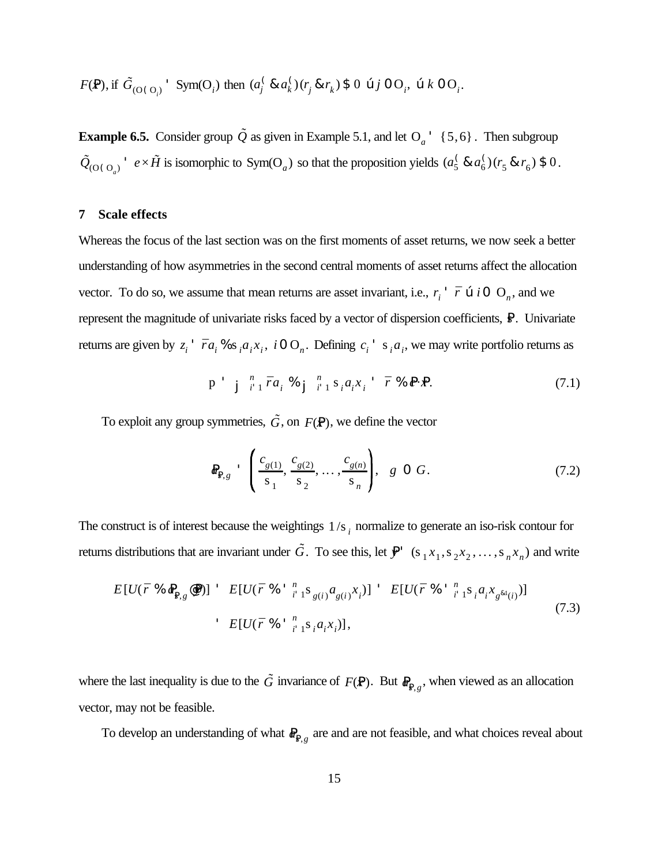*F*(*x*P), if then *. G*˜ (O(O*<sup>i</sup>* ) Sym(O*<sup>i</sup>* ) (*a* ( *j* & *a* ( *k* )(*r j* & *r k* ) \$ 0 œ *j* 0 O*<sup>i</sup>* , œ *k* 0 O*<sup>i</sup>*

**Example 6.5.** Consider group  $\tilde{Q}$  as given in Example 5.1, and let  $Q_a$ <sup>+</sup> {5,6}. Then subgroup  $\tilde{Q}_{(O(O_a))}$ <sup> $\cdot$ </sup>  $e \times \tilde{H}$  is isomorphic to Sym(O<sub>*a*</sub>) so that the proposition yields  $(a_5^{\prime} \& a_6^{\prime})(r_5 \& r_6)$  \$ 0.  $\frac{6}{5}$  &  $a_6^{\binom{6}{5}}$  $^{()}_{6}(r_{5}$  &  $r_{6})$  \$ 0

#### **7 Scale effects**

Whereas the focus of the last section was on the first moments of asset returns, we now seek a better understanding of how asymmetries in the second central moments of asset returns affect the allocation vector. To do so, we assume that mean returns are asset invariant, i.e.,  $r_i$ <sup>+</sup>  $\bar{r}$   $\alpha$  *i* 0  $O_n$ , and we represent the magnitude of univariate risks faced by a vector of dispersion coefficients,  $\mathbb{R}$ . Univariate returns are given by  $z_i$ <sup>+</sup>  $\bar{r}a_i$ % s<sub>i</sub> $a_ix_i$ , i 0 O<sub>n</sub>. Defining  $c_i$ <sup>+</sup> s<sub>i</sub> $a_i$ , we may write portfolio returns as

$$
\mathbf{p} \quad \mathbf{j} \quad \mathbf{j} \quad \mathbf{r}_1 \quad \mathbf{r}_2 \quad \mathbf{r}_3 \quad \mathbf{r}_4 \quad \mathbf{r}_5 \quad \mathbf{r}_1 \quad \mathbf{s}_2 \quad \mathbf{r}_3 \quad \mathbf{r}_4 \quad \mathbf{r}_5 \quad \mathbf{r}_6 \quad \mathbf{r}_7 \quad \mathbf{r}_8 \quad \mathbf{r}_8 \quad \mathbf{r}_9 \quad \mathbf{r}_1 \quad \mathbf{r}_1 \quad \mathbf{r}_2 \quad \mathbf{r}_3 \quad \mathbf{r}_4 \quad \mathbf{r}_5 \quad \mathbf{r}_6 \quad \mathbf{r}_7 \quad \mathbf{r}_8 \quad \mathbf{r}_9 \quad \mathbf{r}_9 \quad \mathbf{r}_1 \quad \mathbf{r}_1 \quad \mathbf{r}_2 \quad \mathbf{r}_3 \quad \mathbf{r}_4 \quad \mathbf{r}_5 \quad \mathbf{r}_6 \quad \mathbf{r}_7 \quad \mathbf{r}_8 \quad \mathbf{r}_9 \quad \mathbf{r}_9 \quad \mathbf{r}_9 \quad \mathbf{r}_9 \quad \mathbf{r}_9 \quad \mathbf{r}_9 \quad \mathbf{r}_9 \quad \mathbf{r}_9 \quad \mathbf{r}_9 \quad \mathbf{r}_9 \quad \mathbf{r}_9 \quad \mathbf{r}_9 \quad \mathbf{r}_9 \quad \mathbf{r}_9 \quad \mathbf{r}_9 \quad \mathbf{r}_9 \quad \mathbf{r}_9 \quad \mathbf{r}_9 \quad \mathbf{r}_9 \quad \mathbf{r}_9 \quad \mathbf{r}_9 \quad \mathbf{r}_9 \quad \mathbf{r}_9 \quad \mathbf{r}_9 \quad \mathbf{r}_9 \quad \mathbf{r}_9 \quad \mathbf{r}_9 \quad \mathbf{r}_9 \quad \mathbf{r}_9 \quad \mathbf{r}_9 \quad \mathbf{r}_9 \quad \mathbf{r}_9 \quad \mathbf{r}_9 \quad \mathbf{r}_9 \quad \mathbf{r}_9 \quad \mathbf{r}_9 \quad \mathbf{r}_9 \quad \mathbf{r}_9 \quad \mathbf{r}_9 \quad \mathbf{r}_9 \quad \mathbf{r}_9 \quad \mathbf{r}_9 \quad \mathbf{r}_9 \quad \mathbf{r}_9 \quad \mathbf{r}_9 \quad \mathbf{r}_9 \quad \mathbf{r}_9 \quad \
$$

To exploit any group symmetries,  $\tilde{G}$ , on  $F(\mathbf{P})$ , we define the vector

$$
\mathbf{R}_{\mathbf{R},g} \quad \begin{pmatrix} c_{g(1)}, & c_{g(2)}, & \dots, & c_{g(n)} \\ \hline s_1, & s_2, & \dots, & s_n \end{pmatrix}, \quad g \quad \mathbf{O} \ G. \tag{7.2}
$$

The construct is of interest because the weightings  $1/s$  is normalize to generate an iso-risk contour for returns distributions that are invariant under  $\tilde{G}$ . To see this, let  $\mathbf{P}'$  (s<sub>1</sub>x<sub>1</sub>, s<sub>2</sub>x<sub>2</sub>, ..., s<sub>n</sub>x<sub>n</sub>) and write

$$
E[U(\bar{r} \mathcal{K} \otimes_{\mathbb{R}_{8,8}} \otimes \mathbb{P})] \quad E[U(\bar{r} \mathcal{K} \otimes_{i=1}^{n} S_{g(i)} a_{g(i)} x_i)] \quad E[U(\bar{r} \mathcal{K} \otimes_{i=1}^{n} S_i a_i x_{g^{k}(i)})]
$$
\n
$$
E[U(\bar{r} \mathcal{K} \otimes_{i=1}^{n} S_i a_i x_i)], \qquad (7.3)
$$

where the last inequality is due to the  $\tilde{G}$  invariance of  $F(\mathbf{P})$ . But  $\mathbf{R}_{\mathbf{P},g}$ , when viewed as an allocation vector, may not be feasible.

To develop an understanding of what  $\mathbf{R}_{\mathbf{R}_{.g}}$  are and are not feasible, and what choices reveal about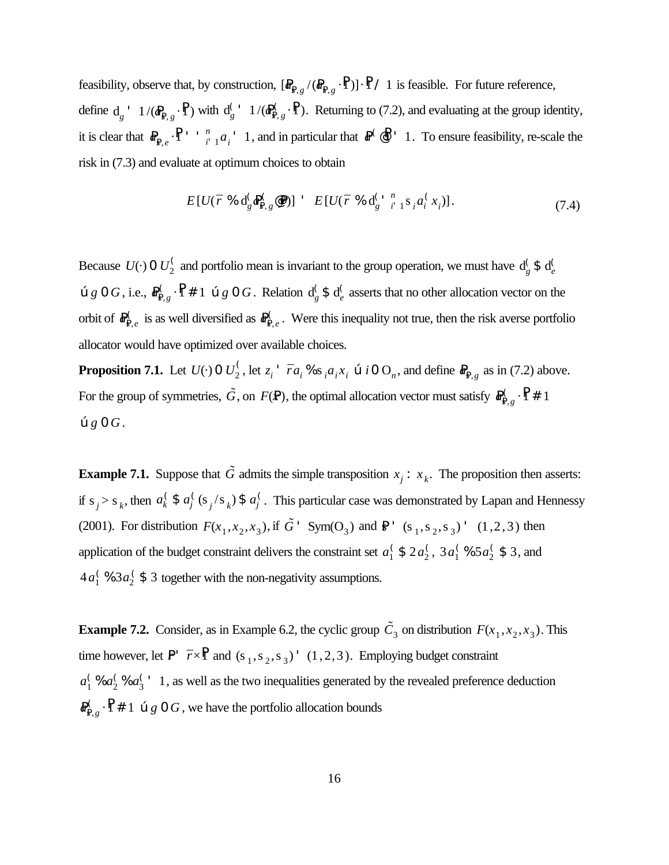feasibility, observe that, by construction,  $[\mathbf{R}_{\mathbf{R},g}/(\mathbf{R}_{\mathbf{R},g}\cdot\mathbf{R})]\cdot\mathbf{R}$  / 1 is feasible. For future reference, define  $d_g$   $\rightarrow$  1/( $d_{R,g}^C \cdot \vec{P}$ ) with  $d_g^C \cdot 1/(d_{R,g}^C \cdot \vec{P})$ . Returning to (7.2), and evaluating at the group identity,  $\frac{C}{g}$ <sup>'</sup> 1/( $\Phi_{\rm P,0}^{\rm C}$ Ps, *g* ·P1) it is clear that  $\mathbf{R}_{\mathbf{R},e} \cdot \mathbf{P}$  ''  $\mathbf{R}_{i-1}^n a_i$  '1, and in particular that  $\mathbf{R}^{\infty}$   $\mathbf{P}$  '1. To ensure feasibility, re-scale the  $\int_{i^1}^n a_i^1$  1, and in particular that  $\mathbb{R}^{\binom{n}{2}}$  1 risk in (7.3) and evaluate at optimum choices to obtain

$$
E[U(\bar{r} \mathcal{K} d_g^{\mathcal{C}} \Phi_{\mathbf{R},g}^{\mathcal{C}} \mathcal{Q})] \quad E[U(\bar{r} \mathcal{K} d_g^{\mathcal{C} \mathcal{K}} \dot{r}^n \mathcal{K}_i a_i^{\mathcal{C}} x_i)]. \tag{7.4}
$$

Because  $U(\cdot)$  0  $U_2^{\zeta}$  and portfolio mean is invariant to the group operation, we must have  $d_g^{\zeta}$  $\frac{6}{g}$  \$ d<sub>e</sub> *e*  $\mathfrak{e}_g \circ G$ , i.e.,  $\mathbb{R}^{\zeta}_{\mathbb{R},g} \cdot \mathbb{P} \neq 1$   $\mathfrak{e}_g \circ G$ . Relation  $d_g^{\zeta} \circ d_e^{\zeta}$  asserts that no other allocation vector on the  $\frac{6}{g}$  \$ d<sub>e</sub> *e* orbit of  $\mathbb{R}^{\zeta}_{B,e}$  is as well diversified as  $\mathbb{R}^{\zeta}_{B,e}$ . Were this inequality not true, then the risk averse portfolio Ps, *e* allocator would have optimized over available choices.

**Proposition 7.1.** Let  $U(\cdot)$  0  $U_2^{\zeta}$ , let  $z_i^{\dagger}$   $\bar{r}a_i$  %  $s_i a_i x_i$   $\alpha$  *i* 0  $O_n$ , and define  $R_{R,g}$  as in (7.2) above. For the group of symmetries,  $\tilde{G}$ , on  $F(\mathbf{P})$ , the optimal allocation vector must satisfy  $\mathbf{R}_{\mathbf{P}}^{\langle}$  $\mathsf{P}_{\mathsf{R},g}^{\left(\cdot\right)}\cdot\mathsf{P}$  # 1  $\mathfrak{g} \mathfrak{g} \mathfrak{g} \mathfrak{g} \mathfrak{g}$ .

**Example 7.1.** Suppose that  $\tilde{G}$  admits the simple transposition  $x_j : x_k$ . The proposition then asserts: if  $s_j > s_k$ , then  $a_k^{\zeta} \$   $a_j^{\zeta} (s_j/s_k) \$   $a_j^{\zeta}$ . This particular case was demonstrated by Lapan and Hennessy *k* \$ *a* (  $\int_{j}^{k}$  (s<sub>j</sub>/s<sub>k</sub>) \$  $a_j^k$ *j* (2001). For distribution  $F(x_1, x_2, x_3)$ , if  $\tilde{G}$  ' Sym(O<sub>3</sub>) and  $\mathbb{R}$  ' (s<sub>1</sub>, s<sub>2</sub>, s<sub>3</sub>) ' (1, 2, 3) then application of the budget constraint delivers the constraint set  $a_1^{\prime}$  \$ 2 $a_2^{\prime}$ , 3 $a_1^{\prime}$  % 5 $a_2^{\prime}$  \$ 3, and  $\frac{1}{2}$ , 3*a*<sup>1</sup>  $\frac{6}{1}$ % 5*a*<sup>2</sup>  $\frac{1}{2}$  \$ 3  $4a_1^{\binom{6}{2}}$  \$ 3 together with the non-negativity assumptions.  $\frac{1}{2}$  \$ 3

**Example 7.2.** Consider, as in Example 6.2, the cyclic group  $\tilde{C}_3$  on distribution  $F(x_1, x_2, x_3)$ . This time however, let  $P'$   $\bar{r} \times \bar{P}$  and  $(s_1, s_2, s_3)'$  (1,2,3). Employing budget constraint  $a_1^{\prime}$  %  $a_2^{\prime}$  %  $a_3^{\prime}$  ' 1, as well as the two inequalities generated by the revealed preference deduction  $\frac{6}{2}$ %  $a_3^6$  $\frac{1}{3}$  1  $R_{\mathbb{R},g}^{\mathbb{C}}$   $\cdot$  **P** # 1 œ *g* 0 *G*, we have the portfolio allocation bounds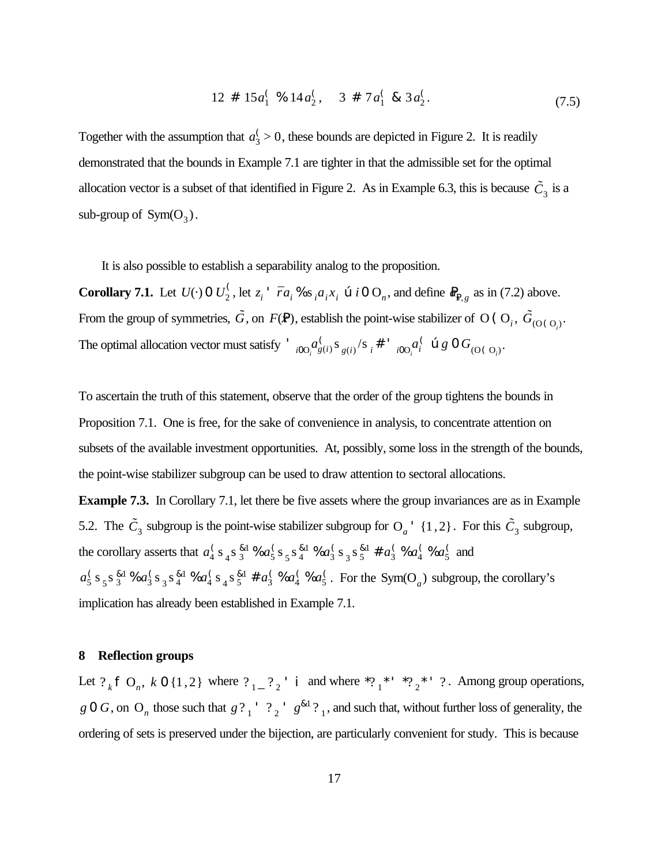$$
12 \# 15a_1^{\binom{6}{2}} \# 14a_2^{\binom{6}{2}} \# 7a_1^{\binom{6}{2}} \# 3a_2^{\binom{6}{2}} \tag{7.5}
$$

Together with the assumption that  $a_3$  > 0, these bounds are depicted in Figure 2. It is readily demonstrated that the bounds in Example 7.1 are tighter in that the admissible set for the optimal allocation vector is a subset of that identified in Figure 2. As in Example 6.3, this is because  $\tilde{C}_3$  is a sub-group of  $Sym(O_3)$ .

It is also possible to establish a separability analog to the proposition.

**Corollary 7.1.** Let  $U(\cdot)$  0  $U_2^{\zeta}$ , let  $z_i$  '  $\bar{r}a_i$ % s<sub>i</sub> $a_i x_i$   $\alpha$  i 0  $O_n$ , and define  $R_{R,g}$  as in (7.2) above. From the group of symmetries,  $\tilde{G}$ , on  $F(\mathbf{P})$ , establish the point-wise stabilizer of O (O<sub>*i*</sub>,  $\tilde{G}_{(O(O_i))}$ . The optimal allocation vector must satisfy '  ${}_{i00}a_{g(i)}^{\dagger} s_{g(i)} s_{g(i)}^{\dagger} s_i^{\dagger}$ '  ${}_{i00}a_i^{\dagger}$   $\otimes g \circ G_{(O(\dagger))}$ .  $\int_{g(i)} s_{g(i)} / s_i \#$  '*i*0O<sub>*i*</sub><sup>*i*</sup><sup>*i*</sup>  $\int_i^C$  **c**  $g$  **0**  $G$ <sub>(O(O<sub>*i*</sub>)</sub>

To ascertain the truth of this statement, observe that the order of the group tightens the bounds in Proposition 7.1. One is free, for the sake of convenience in analysis, to concentrate attention on subsets of the available investment opportunities. At, possibly, some loss in the strength of the bounds, the point-wise stabilizer subgroup can be used to draw attention to sectoral allocations.

**Example 7.3.** In Corollary 7.1, let there be five assets where the group invariances are as in Example 5.2. The  $\tilde{C}_3$  subgroup is the point-wise stabilizer subgroup for  $O_a'$  {1,2}. For this  $\tilde{C}_3$  subgroup, the corollary asserts that  $a_4^{\binom{6}{3}} s_4^{\binom{8}{3}} s_6^{\binom{6}{3}} s_5^{\binom{8}{4}} s_4^{\binom{6}{3}} s_3^{\binom{8}{5}} t_5^{\binom{8}{4}} t_6^{\binom{8}{3}} a_4^{\binom{8}{3}} s_5^{\binom{8}{4}} t_6^{\binom{8}{4}} t_7^{\binom{8}{4}} t_8^{\binom{8}{4}} t_9^{\binom{8}{4}} t_9^{\binom{8}{4}} t_9^{\binom{8}{4}} t$  $\frac{81}{3}$ %  $a_5^{\left(\right)}$  $\frac{6}{5}$  S  $\frac{81}{4}$  $\frac{1}{4}$  %  $a_3^{\left(\right)}$  $\frac{6}{3}$  S  $\frac{81}{3}$  S  $\frac{81}{5}$  $a_5^{81}$  #  $a_3^6$  $\frac{6}{3}$  %  $a_4^{\left(}$  $\frac{6}{4}$  %  $a_5^{\left(}$ 5  $a_5^{\binom{6}{5}} s_5^{\binom{8}{3}}$  %  $a_3^{\binom{6}{5}} s_3^{\binom{8}{4}}$  %  $a_4^{\binom{6}{5}}$  %  $a_4^{\binom{6}{5}}$  %  $a_5^{\binom{6}{5}}$ . For the Sym(O<sub>a</sub>) subgroup, the corollary's  $\frac{81}{3}$ %  $a_3^{\left(\right)}$  $\frac{6}{3}$  S  $\frac{81}{3}$  $\frac{1}{4}$  %  $a_4^{\left(\right)}$  $\frac{6}{4}$  S  $\frac{81}{5}$  $a_5^{81}$  #  $a_3^6$  $\frac{6}{3}$  %  $a_4^{\left(}$  $\frac{1}{4}$  %  $a_5^{\prime}$ . For the Sym(O<sub>a</sub>) implication has already been established in Example 7.1.

#### **8 Reflection groups**

Let  $?_k \uparrow O_n$ ,  $k \uparrow O_{1,2}$  where  $?_{1-} ?_{2}$  i and where  $*?_{1} * ' \uparrow ?_{2} * ' ?$ . Among group operations, *g* 0 *G*, on O<sub>n</sub> those such that  $g$ ?<sub>1</sub>' ?<sub>2</sub>'  $g^{k_1}$ ?<sub>1</sub>, and such that, without further loss of generality, the ordering of sets is preserved under the bijection, are particularly convenient for study. This is because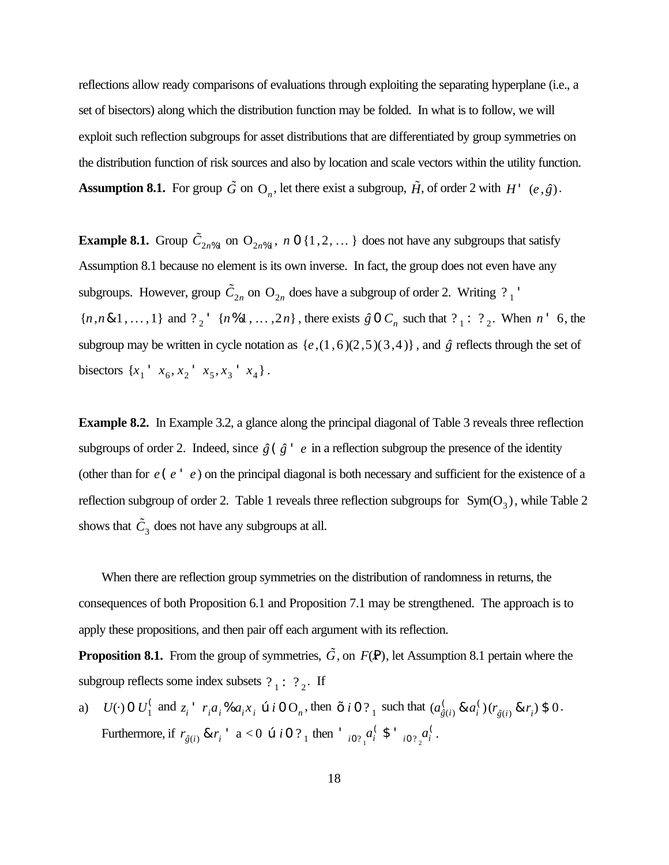reflections allow ready comparisons of evaluations through exploiting the separating hyperplane (i.e., a set of bisectors) along which the distribution function may be folded. In what is to follow, we will exploit such reflection subgroups for asset distributions that are differentiated by group symmetries on the distribution function of risk sources and also by location and scale vectors within the utility function. **Assumption 8.1.** For group  $\tilde{G}$  on  $O_n$ , let there exist a subgroup,  $\tilde{H}$ , of order 2 with  $H'$   $(e, \hat{g})$ .

**Example 8.1.** Group  $\tilde{C}_{2n\%1}$  on  $O_{2n\%1}$ , *n* 0 {1,2, ... } does not have any subgroups that satisfy Assumption 8.1 because no element is its own inverse. In fact, the group does not even have any subgroups. However, group  $\tilde{C}_{2n}$  on  $O_{2n}$  does have a subgroup of order 2. Writing  $?$ <sub>1</sub>  ${n, n \& 1, ..., 1}$  and  $?_{2}$  '  ${n \& 1, ..., 2n}$ , there exists  $\hat{g} \circ C_{n}$  such that  $?_{1}$ :  $?_{2}$ . When  $n \circ 6$ , the subgroup may be written in cycle notation as  $\{e, (1,6)(2,5)(3,4)\}$ , and  $\hat{g}$  reflects through the set of bisectors  $\{x_1 \, x_6, x_2 \, x_5, x_3 \, x_4\}$ .

**Example 8.2.** In Example 3.2, a glance along the principal diagonal of Table 3 reveals three reflection subgroups of order 2. Indeed, since  $\hat{g}$  ( $\hat{g}$ <sup>+</sup>  $e$  in a reflection subgroup the presence of the identity (other than for *e*(*e* ' *e* ) on the principal diagonal is both necessary and sufficient for the existence of a reflection subgroup of order 2. Table 1 reveals three reflection subgroups for  $Sym(O_3)$ , while Table 2 shows that  $\tilde{C}_3$  does not have any subgroups at all.

When there are reflection group symmetries on the distribution of randomness in returns, the consequences of both Proposition 6.1 and Proposition 7.1 may be strengthened. The approach is to apply these propositions, and then pair off each argument with its reflection.

**Proposition 8.1.** From the group of symmetries,  $\tilde{G}$ , on  $F(\mathbf{P})$ , let Assumption 8.1 pertain where the subgroup reflects some index subsets  $?_1: ?_2$ . If

a)  $U(\cdot)$  0  $U_1^{\prime}$  and  $z_i^{\prime}$   $r_i a_i$ ,  $\alpha a_i x_i \neq i$  0 O<sub>n</sub>, then  $\rightarrow i$  0 ?<sub>1</sub> such that  $(a_{\delta(i)}^{\prime} \& a_i^{\prime})(r_{\delta(i)} \& r_i)$  \$ 0.  $\int_{1}^{3}$  and  $z_i$   $\int_{i}^{3} r_i a_i \, \delta a_i x_i$  ce *i* 0 O<sub>n</sub>, then > *i* 0 ?<sub>1</sub> such that  $(a_{\hat{g}i}^{\delta})$  $\int_{\hat{g}(i)} \& a_i^{\binom{n}{n}}$  $\int_i^{\{j\}} (r_{\hat{g}(i)} \& r_i) \$0$ Furthermore, if  $r_{\hat{g}(i)} \& r_i'$  a < 0  $\omega$  *i* 0 ? 1 then  $\int_{i0?} a_i^{\int} \, \text{S} \cdot \int_{i0?} a_i^{\int}$ .  $\int_i^c \, \mathsf{S} \cdot \int_{i0 \, ?_2} a_i^{\, (n)}$ *i*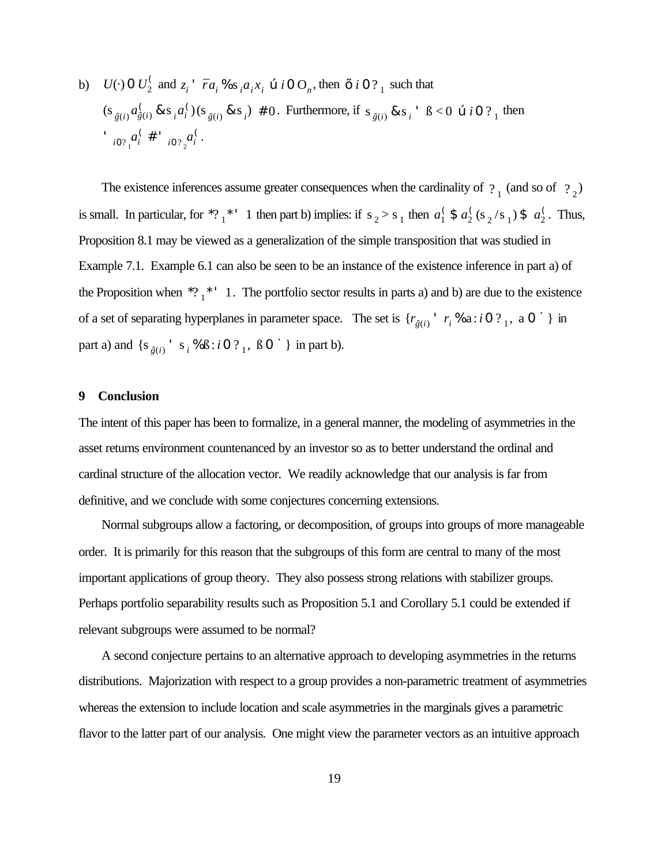b) 
$$
U(\cdot)
$$
 0  $U_2^{\prime}$  and  $z_i^{\prime}$   $\bar{r}a_i \mathcal{N} s_i a_i x_i \mathfrak{e} i 0 O_n$ , then  $\rightarrow i 0 ?_1$  such that  
\n $(s_{\hat{g}(i)} a_{\hat{g}(i)}^{\prime} \& s_i a_i^{\prime})(s_{\hat{g}(i)} \& s_i) \neq 0$ . Furthermore, if  $s_{\hat{g}(i)} \& s_i^{\prime} \& s_i^{\prime} 0$  0  $\hat{v} \& 0 ?_1$  then  
\n
$$
i_{i0 ?_1} a_i^{\prime} \neq i_{i0 ?_2} a_i^{\prime}.
$$

The existence inferences assume greater consequences when the cardinality of  $\frac{1}{2}$  (and so of  $\frac{1}{2}$ ) is small. In particular, for \*?<sub>1</sub>\*' 1 then part b) implies: if  $s_2 > s_1$  then  $a_1^{\prime}$  \$  $a_2^{\prime}$  ( $s_2/s_1$ ) \$  $a_2^{\prime}$ . Thus,  $\int_1^6$  \$  $a_2^6$  $\frac{1}{2}$ (s<sub>2</sub>/s<sub>1</sub>) \$  $a_2$ <sup>(</sup>) 2 Proposition 8.1 may be viewed as a generalization of the simple transposition that was studied in Example 7.1. Example 6.1 can also be seen to be an instance of the existence inference in part a) of the Proposition when  $*?$   $\frac{*}{1}$   $\cdot$  1. The portfolio sector results in parts a) and b) are due to the existence of a set of separating hyperplanes in parameter space. The set is  $\{r_{\hat{g}(i)} \mid r_i \$  a : *i* 0 ? 1, a 0 ú } in part a) and  $\{s_{\hat{g}(i)} : s_i \, \Re \, B : i \, 0 \, ?_1, \, B \, 0 \, \dot{u}\}\$  in part b).

### **9 Conclusion**

The intent of this paper has been to formalize, in a general manner, the modeling of asymmetries in the asset returns environment countenanced by an investor so as to better understand the ordinal and cardinal structure of the allocation vector. We readily acknowledge that our analysis is far from definitive, and we conclude with some conjectures concerning extensions.

Normal subgroups allow a factoring, or decomposition, of groups into groups of more manageable order. It is primarily for this reason that the subgroups of this form are central to many of the most important applications of group theory. They also possess strong relations with stabilizer groups. Perhaps portfolio separability results such as Proposition 5.1 and Corollary 5.1 could be extended if relevant subgroups were assumed to be normal?

A second conjecture pertains to an alternative approach to developing asymmetries in the returns distributions. Majorization with respect to a group provides a non-parametric treatment of asymmetries whereas the extension to include location and scale asymmetries in the marginals gives a parametric flavor to the latter part of our analysis. One might view the parameter vectors as an intuitive approach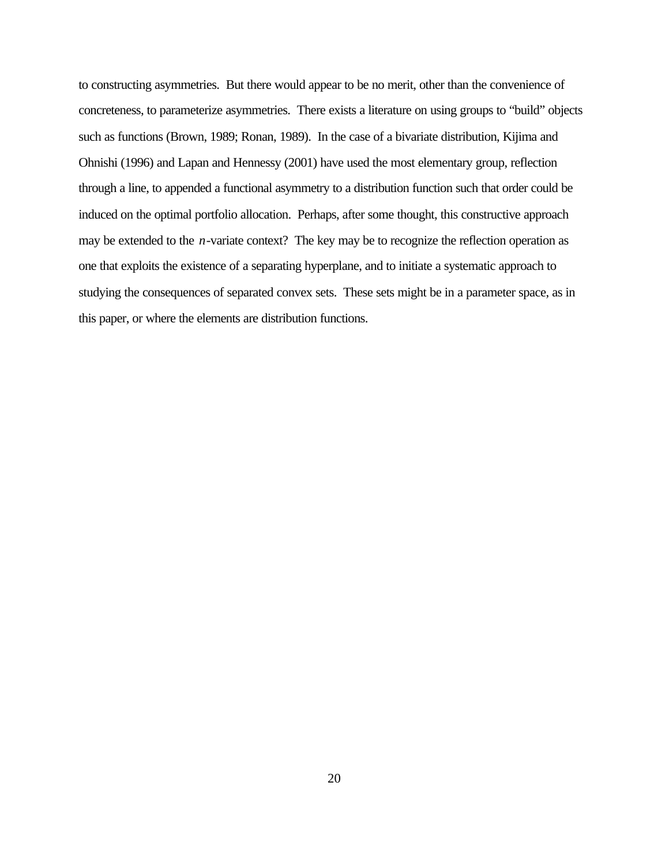to constructing asymmetries. But there would appear to be no merit, other than the convenience of concreteness, to parameterize asymmetries. There exists a literature on using groups to "build" objects such as functions (Brown, 1989; Ronan, 1989). In the case of a bivariate distribution, Kijima and Ohnishi (1996) and Lapan and Hennessy (2001) have used the most elementary group, reflection through a line, to appended a functional asymmetry to a distribution function such that order could be induced on the optimal portfolio allocation. Perhaps, after some thought, this constructive approach may be extended to the *n*-variate context? The key may be to recognize the reflection operation as one that exploits the existence of a separating hyperplane, and to initiate a systematic approach to studying the consequences of separated convex sets. These sets might be in a parameter space, as in this paper, or where the elements are distribution functions.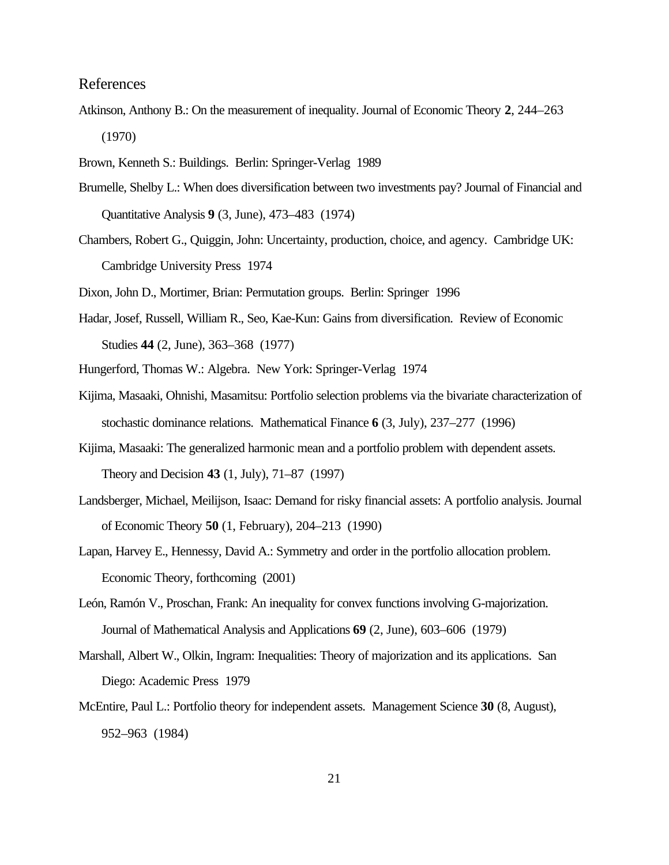### References

- Atkinson, Anthony B.: On the measurement of inequality. Journal of Economic Theory **2**, 244–263 (1970)
- Brown, Kenneth S.: Buildings. Berlin: Springer-Verlag 1989
- Brumelle, Shelby L.: When does diversification between two investments pay? Journal of Financial and Quantitative Analysis **9** (3, June), 473–483 (1974)
- Chambers, Robert G., Quiggin, John: Uncertainty, production, choice, and agency. Cambridge UK: Cambridge University Press 1974
- Dixon, John D., Mortimer, Brian: Permutation groups. Berlin: Springer 1996
- Hadar, Josef, Russell, William R., Seo, Kae-Kun: Gains from diversification. Review of Economic Studies **44** (2, June), 363–368 (1977)
- Hungerford, Thomas W.: Algebra. New York: Springer-Verlag 1974
- Kijima, Masaaki, Ohnishi, Masamitsu: Portfolio selection problems via the bivariate characterization of stochastic dominance relations. Mathematical Finance **6** (3, July), 237–277 (1996)
- Kijima, Masaaki: The generalized harmonic mean and a portfolio problem with dependent assets. Theory and Decision **43** (1, July), 71–87 (1997)
- Landsberger, Michael, Meilijson, Isaac: Demand for risky financial assets: A portfolio analysis. Journal of Economic Theory **50** (1, February), 204–213 (1990)
- Lapan, Harvey E., Hennessy, David A.: Symmetry and order in the portfolio allocation problem. Economic Theory, forthcoming (2001)
- León, Ramón V., Proschan, Frank: An inequality for convex functions involving G-majorization. Journal of Mathematical Analysis and Applications **69** (2, June), 603–606 (1979)
- Marshall, Albert W., Olkin, Ingram: Inequalities: Theory of majorization and its applications. San Diego: Academic Press 1979
- McEntire, Paul L.: Portfolio theory for independent assets. Management Science **30** (8, August), 952–963 (1984)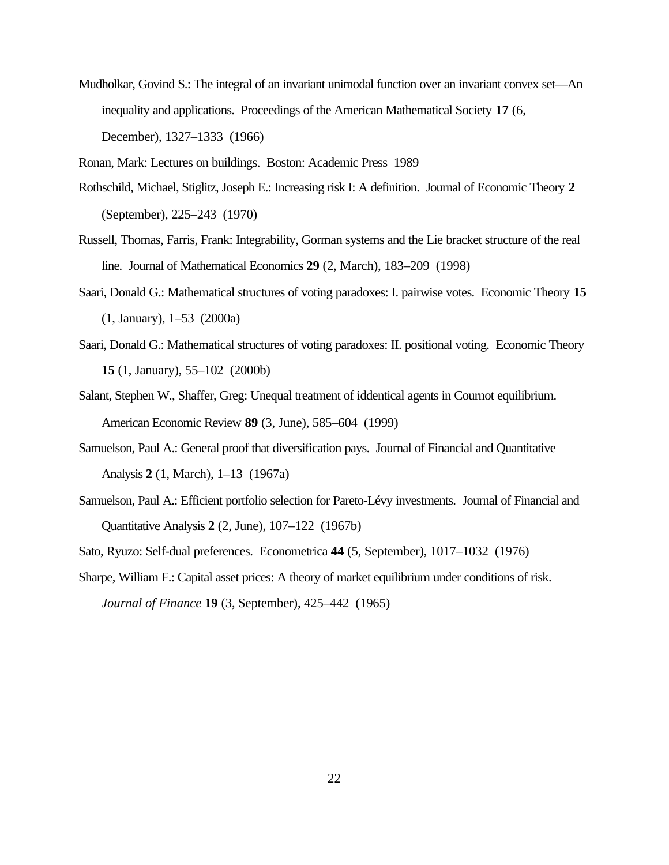Mudholkar, Govind S.: The integral of an invariant unimodal function over an invariant convex set—An inequality and applications. Proceedings of the American Mathematical Society **17** (6, December), 1327–1333 (1966)

Ronan, Mark: Lectures on buildings. Boston: Academic Press 1989

- Rothschild, Michael, Stiglitz, Joseph E.: Increasing risk I: A definition. Journal of Economic Theory **2** (September), 225–243 (1970)
- Russell, Thomas, Farris, Frank: Integrability, Gorman systems and the Lie bracket structure of the real line. Journal of Mathematical Economics **29** (2, March), 183–209 (1998)
- Saari, Donald G.: Mathematical structures of voting paradoxes: I. pairwise votes. Economic Theory **15** (1, January), 1–53 (2000a)
- Saari, Donald G.: Mathematical structures of voting paradoxes: II. positional voting. Economic Theory **15** (1, January), 55–102 (2000b)
- Salant, Stephen W., Shaffer, Greg: Unequal treatment of iddentical agents in Cournot equilibrium. American Economic Review **89** (3, June), 585–604 (1999)
- Samuelson, Paul A.: General proof that diversification pays. Journal of Financial and Quantitative Analysis **2** (1, March), 1–13 (1967a)
- Samuelson, Paul A.: Efficient portfolio selection for Pareto-Lévy investments. Journal of Financial and Quantitative Analysis **2** (2, June), 107–122 (1967b)
- Sato, Ryuzo: Self-dual preferences. Econometrica **44** (5, September), 1017–1032 (1976)
- Sharpe, William F.: Capital asset prices: A theory of market equilibrium under conditions of risk. *Journal of Finance* **19** (3, September), 425–442 (1965)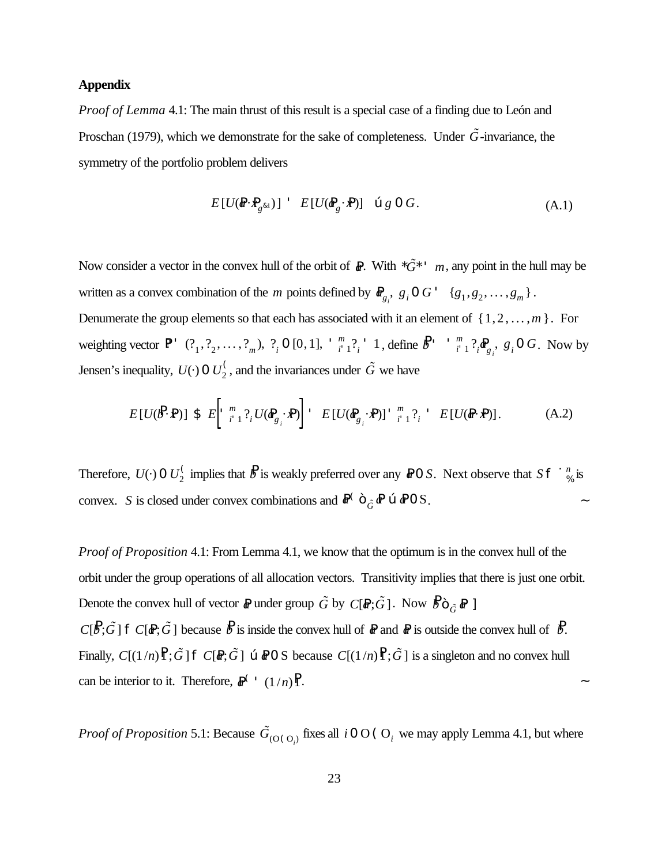#### **Appendix**

*Proof of Lemma* 4.1: The main thrust of this result is a special case of a finding due to León and Proschan (1979), which we demonstrate for the sake of completeness. Under  $\ddot{G}$ -invariance, the symmetry of the portfolio problem delivers

$$
E[U(\boldsymbol{\theta} \cdot \boldsymbol{P}_{g^{\&1}})] \quad E[U(\boldsymbol{\theta}_{g} \cdot \boldsymbol{P})] \quad \text{we} \quad g \in G.
$$
 (A.1)

Now consider a vector in the convex hull of the orbit of  $\mathbb{R}$ . With  $*\tilde{G}^*$  ' *m*, any point in the hull may be written as a convex combination of the *m* points defined by  $\mathbf{R}_{g_i}, g_i \mathbf{0} G' \{g_1, g_2, \dots, g_m\}$ . Denumerate the group elements so that each has associated with it an element of  $\{1, 2, \ldots, m\}$ . For weighting vector P? ' (? , define . Now by <sup>1</sup> , ? 2 , ... , ? *m* ), ? *i* 0 [0,1], ' *m*  $\frac{m}{i}$  <sup>1</sup>, <sup>1</sup>, define  $\frac{B}{i}$  <sup>*m*</sup>  $\frac{m}{i}$  $\int_{i}^{m} 1 \, ?_{i} \, \mathbf{P}_{g_{i}}$ ,  $g_{i} \, 0 \, G$ Jensen's inequality,  $U(\cdot)$  0  $U_2^{\langle}$ , and the invariances under  $\tilde{G}$  we have

$$
E[U(\mathbf{\mathcal{B}}\cdot\mathbf{P})] \$ E\left[\begin{array}{cc} m & \\ i & 1 \end{array}\right] \{U(\mathbf{\mathcal{B}}_{g_i}\cdot\mathbf{P})\right] \ \subseteq\ E[U(\mathbf{\mathcal{B}}_{g_i}\cdot\mathbf{P})] \ \overset{m}{\longrightarrow} \ \frac{2}{i-1} \ \frac{2}{i} \ \subseteq\ E[U(\mathbf{\mathcal{R}}\cdot\mathbf{P})]. \tag{A.2}
$$

Therefore,  $U(\cdot)$  0  $U_2^{\zeta}$  implies that  $B$  is weakly preferred over any  $\angle$  0 *S*. Next observe that  $S \cap \mathfrak{a}_\%^n$  is % convex. *S* is closed under convex combinations and  $\mathbb{R}^C C^*_{\tilde{G}} \mathbb{R}$  **a**  $\mathbb{R}^0 \times \mathbb{R}^0$  S.

*Proof of Proposition* 4.1: From Lemma 4.1, we know that the optimum is in the convex hull of the orbit under the group operations of all allocation vectors. Transitivity implies that there is just one orbit. Denote the convex hull of vector *a*<sup>p</sup> under group  $\tilde{G}$  by  $C[R; \tilde{G}]$ . Now  $\tilde{B}^{\sim}_{\tilde{G}} R$  ]  $C[\mathcal{B}; \tilde{G}]$  **f**  $C[\mathcal{A}; \tilde{G}]$  because  $\mathcal{B}$  is inside the convex hull of  $\mathcal{A}$  and  $\mathcal{A}$  is outside the convex hull of  $\mathcal{B}$ . Finally,  $C[(1/n)\hat{F}; \tilde{G}]$   $\hat{F} C[\hat{R}; \tilde{G}]$   $\hat{\alpha}$  are  $\hat{B}O$  S because  $C[(1/n)\hat{F}; \tilde{G}]$  is a singleton and no convex hull can be interior to it. Therefore,  $\mathbb{R}^{\binom{n}{2}} (1/n)^{\binom{n}{2}}$ .

*Proof of Proposition* 5.1: Because  $\tilde{G}_{(O(O_i))}$  fixes all *i* 0 O (O<sub>*i*</sub> we may apply Lemma 4.1, but where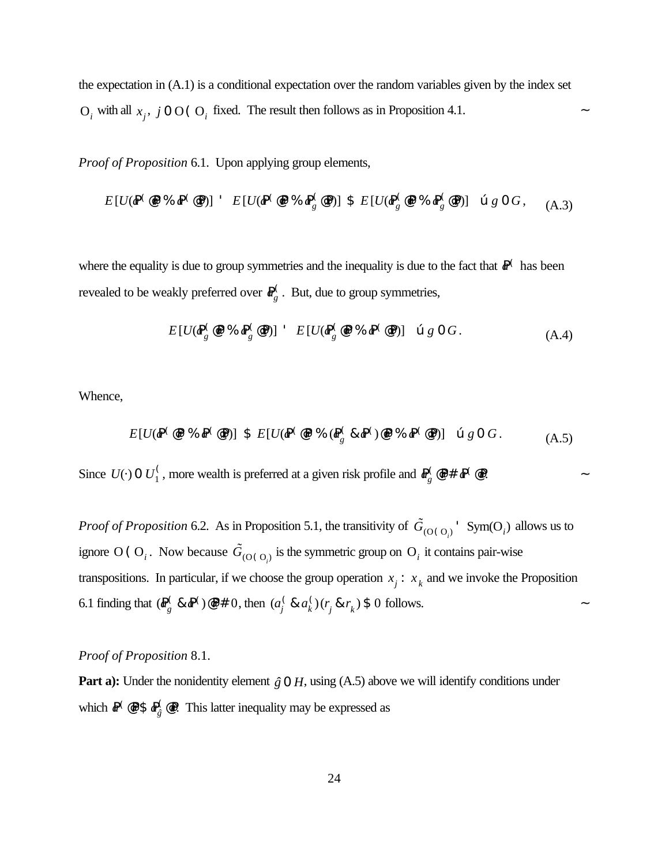the expectation in (A.1) is a conditional expectation over the random variables given by the index set  $O_i$  with all  $x_j$ ,  $j \circ O$  ( $O_i$  fixed. The result then follows as in Proposition 4.1.

*Proof of Proposition* 6.1. Upon applying group elements,

*E*[*U*(*a*P ( @*r*P % *a*P ( @ *x*P)] ' *E*[*U*(*a*P ( @*r*P % *a*P ( *g* @ *x*P)] \$ *E*[*U*(*a*P ( *g* @*r*P % *a*P ( *g* @ *x*P)] œ *g* 0 *G* , (A.3)

where the equality is due to group symmetries and the inequality is due to the fact that  $\mathbb{R}^{\binom{r}{k}}$  has been revealed to be weakly preferred over  $\mathbf{R}_{g}^{\zeta}$ . But, due to group symmetries,

$$
E[U(\mathbf{F}_g^{\mathbb{C}} \mathbf{Q} \mathbf{P} \mathcal{K} \mathbf{F}_g^{\mathbb{C}} \mathbf{Q} \mathbf{P})] \quad E[U(\mathbf{F}_g^{\mathbb{C}} \mathbf{Q} \mathbf{P} \mathcal{K} \mathbf{F}^{\mathbb{C}} \mathbf{Q} \mathbf{P})] \quad \text{or} \quad g \quad O \quad G \tag{A.4}
$$

Whence,

$$
E[U(\mathbf{P}^{\langle} \circ \mathbf{P} \mathcal{H} \otimes \mathbf{P}^{\langle} \circ \mathbf{P})] \mathbf{S} \quad E[U(\mathbf{P}^{\langle} \circ \mathbf{P} \mathcal{H} \otimes \mathbf{P}^{\langle} \circ \mathbf{R} \mathbf{P}^{\langle}) \circ \mathbf{P} \mathcal{H} \otimes \mathbf{P}^{\langle} \circ \mathbf{P})] \quad \text{or} \quad g \in G. \tag{A.5}
$$

Since  $U(\cdot)$  0  $U_1^{\zeta}$ , more wealth is preferred at a given risk profile and  $P_0^{\zeta}$   $\otimes$   $\mathbb{P}$ #  $\mathbb{P}^{\zeta}$   $\otimes$   $\mathbb{P}$ . <sup>1</sup>/<sub>1</sub>, more wealth is preferred at a given risk profile and  $\mathbf{R}^{\text{Q}}_{g}$ *g* @P*r* # *a*P ( @*r*P

*Proof of Proposition* 6.2. As in Proposition 5.1, the transitivity of  $\tilde{G}_{(O(O_i))}$ <sup>T</sup> Sym(O<sub>*i*</sub>)</sub> allows us to ignore O (O<sub>*i*</sub>. Now because  $\tilde{G}_{(O(O_i))}$  is the symmetric group on O<sub>*i*</sub> it contains pair-wise transpositions. In particular, if we choose the group operation  $x_j : x_k$  and we invoke the Proposition 6.1 finding that  $(\mathbb{R}_{q}^{\binom{r}{2}} \& \mathbb{R}^{\binom{r}{2}} \& \mathbb{R}^{\binom{r}{2}}$  , then  $(a_i^{\binom{r}{2}} \& a_i^{\binom{r}{2}}$  ( $r_i \& r_k$ ) \$ 0 follows.  $g_g^{\prime}$  &  $\mathbb{P}^{\prime}$  o<sup>2</sup>  $\neq$  0, then  $(a_j^{\prime})$ *j* & *a* (  $\int_k$   $(r_j \& r_k) \$  0

## *Proof of Proposition* 8.1.

**Part a):** Under the nonidentity element  $\hat{g} \cdot \theta$  *H*, using (A.5) above we will identify conditions under which  $P^{\langle} \otimes P \$   $P_{\hat{\theta}}^{\langle} \otimes P$ . This latter inequality may be expressed as *g*ˆ @*r*P